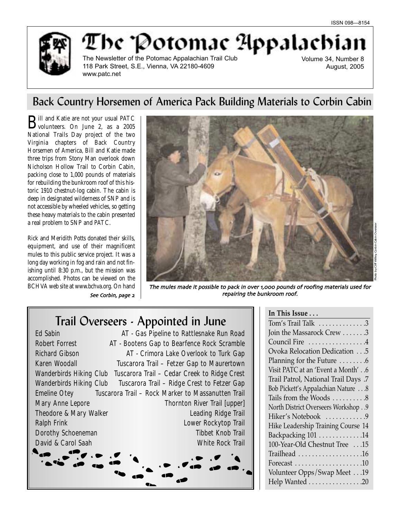

# The Potomae Appalachian

The Newsletter of the Potomac Appalachian Trail Club 118 Park Street, S.E., Vienna, VA 22180-4609 www.patc.net

Volume 34, Number 8 August, 2005

# Back Country Horsemen of America Pack Building Materials to Corbin Cabin

**B**ill and Katie are not your usual PATC<br>
volunteers. On June 2, as a 2005 National Trails Day project of the two Virginia chapters of Back Country Horsemen of America, Bill and Katie made three trips from Stony Man overlook down Nicholson Hollow Trail to Corbin Cabin, packing close to 1,000 pounds of materials for rebuilding the bunkroom roof of this historic 1910 chestnut-log cabin. The cabin is deep in designated wilderness of SNP and is not accessible by wheeled vehicles, so getting these heavy materials to the cabin presented a real problem to SNP and PATC.

Rick and Meridith Potts donated their skills, equipment, and use of their magnificent mules to this public service project. It was a long day working in fog and rain and not finishing until 8:30 p.m., but the mission was accomplished. Photos can be viewed on the BCHVA web site at www.bchva.org. On hand See Corbin page



The mules made it possible to pack in over 1,000 pounds of roofing materials used for repairing the bunkroom roof

 $\sim$   $\sim$   $\sim$   $\sim$ 

# Trail Overseers - Appointed in June

| <b>Ed Sabin</b>                   | AT - Gas Pipeline to Rattlesnake Run Road          |
|-----------------------------------|----------------------------------------------------|
| <b>Robert Forrest</b>             | AT - Bootens Gap to Bearfence Rock Scramble        |
| <b>Richard Gibson</b>             | AT - Crimora Lake Overlook to Turk Gap             |
| <b>Karen Woodall</b>              | Tuscarora Trail – Fetzer Gap to Maurertown         |
| Wanderbirds Hiking Club           | Tuscarora Trail - Cedar Creek to Ridge Crest       |
| <b>Wanderbirds Hiking Club</b>    | Tuscarora Trail - Ridge Crest to Fetzer Gap        |
| <b>Emeline Otey</b>               | Tuscarora Trail - Rock Marker to Massanutten Trail |
| <b>Mary Anne Lepore</b>           | <b>Thornton River Trail [upper]</b>                |
| <b>Theodore &amp; Mary Walker</b> | <b>Leading Ridge Trail</b>                         |
| <b>Ralph Frink</b>                | Lower Rockytop Trail                               |
| <b>Dorothy Schoeneman</b>         | <b>Tibbet Knob Trail</b>                           |
| David & Carol Saah                | <b>White Rock Trail</b>                            |
|                                   |                                                    |

| $\ln$ This Issue $\ldots$            |
|--------------------------------------|
| Tom's Trail Talk 3                   |
| Join the Massarock Crew 3            |
| Council Fire 4                       |
| Ovoka Relocation Dedication 5        |
| Planning for the Future 6            |
| Visit PATC at an 'Event a Month'6    |
| Trail Patrol, National Trail Days .7 |
| Bob Pickett's Appalachian Nature 8   |
| Tails from the Woods 8               |
| North District Overseers Workshop 9  |
| Hiker's Notebook 9                   |
| Hike Leadership Training Course 14   |
| Backpacking 101 14                   |
| 100-Year-Old Chestnut Tree 15        |
| Trailhead 16                         |
| Forecast 10                          |
| Volunteer Opps/Swap Meet 19          |
| Help Wanted 20                       |

# Photo by Cliff Willey, Corbin Cabin Overseer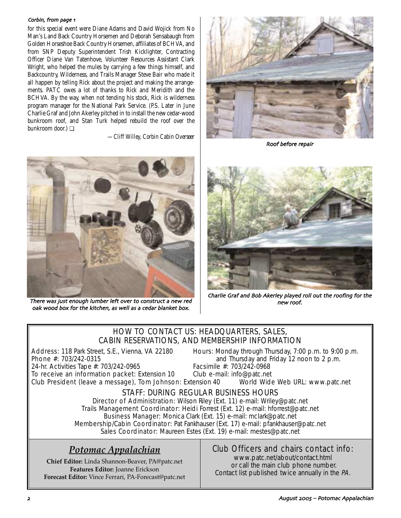#### Corbin from page

for this special event were Diane Adams and David Wojick from No Man's Land Back Country Horsemen and Deborah Sensabaugh from Golden Horseshoe Back Country Horsemen, affiliates of BCHVA, and from SNP Deputy Superintendent Trish Kicklighter, Contracting Officer Diane Van Tatenhove, Volunteer Resources Assistant Clark Wright, who helped the mules by carrying a few things himself, and Backcountry, Wilderness, and Trails Manager Steve Bair who made it all happen by telling Rick about the project and making the arrangements. PATC owes a lot of thanks to Rick and Meridith and the BCHVA. By the way, when not tending his stock, Rick is wilderness program manager for the National Park Service. (P.S. Later in June Charlie Graf and John Akerley pitched in to install the new cedar-wood bunkroom roof, and Stan Turk helped rebuild the roof over the bunkroom door.) ❏

*—Cliff Willey, Corbin Cabin Overseer*



Roof before repair



There was just enough lumber left over to construct a new red oak wood box for the kitchen as well as a cedar blanket box



Charlie Graf and Bob Akerley played roll out the roofing for the

# HOW TO CONTACT US: HEADQUARTERS, SALES, CABIN RESERVATIONS, AND MEMBERSHIP INFORMATION

Address: 118 Park Street, S.E., Vienna, VA 22180 Hours: Monday through Thursday, 7:00 p.m. to 9:00 p.m.<br>Phone #: 703/242-0315 **Phone** #: 703/242-0315

and Thursday and Friday 12 noon to 2 p.m.<br>Facsimile #: 703/242-0968 24-hr. Activities Tape #: 703/242-0965 Facsimile #: 703/242-0968<br>To receive an information packet: Extension 10 Club e-mail: info@patc.net

To receive an information packet: Extension 10 Club President (leave a message), Tom Johnson: Extension 40 World Wide Web URL: www.patc.net

# STAFF: DURING REGULAR BUSINESS HOURS

Director of Administration: Wilson Riley (Ext. 11) e-mail: Wriley@patc.net Trails Management Coordinator: Heidi Forrest (Ext. 12) e-mail: hforrest@patc.net Business Manager: Monica Clark (Ext. 15) e-mail: mclark@patc.net Membership/Cabin Coordinator: Pat Fankhauser (Ext. 17) e-mail: pfankhauser@patc.net Sales Coordinator: Maureen Estes (Ext. 19) e-mail: mestes@patc.net

# *Potomac Appalachian*

**Chief Editor:** Linda Shannon-Beaver, PA@patc.net **Features Editor:** Joanne Erickson **Forecast Editor:** Vince Ferrari, PA-Forecast@patc.net

# Club Officers and chairs contact info:

www.patc.net/about/contact.html or call the main club phone number. Contact list published twice annually in the PA.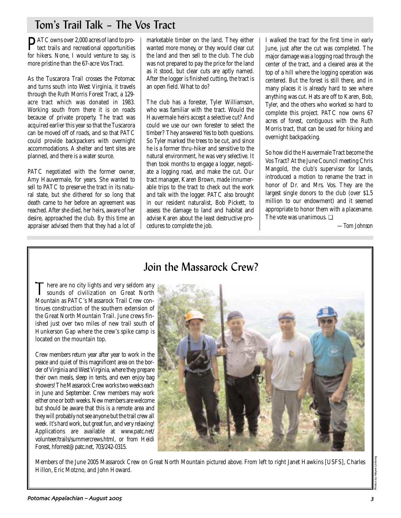# Tom's Trail Talk – The Vos Tract

**PATC** owns over 2,000 acres of land to protect trails and recreational opportunities for hikers. None, I would venture to say, is more pristine than the 67-acre Vos Tract.

As the Tuscarora Trail crosses the Potomac and turns south into West Virginia, it travels through the Ruth Morris Forest Tract, a 129 acre tract which was donated in 1983. Working south from there it is on roads because of private property. The tract was acquired earlier this year so that the Tuscarora can be moved off of roads, and so that PATC could provide backpackers with overnight accommodations. A shelter and tent sites are planned, and there is a water source.

PATC negotiated with the former owner, Amy Hauvermale, for years. She wanted to sell to PATC to preserve the tract in its natural state, but she dithered for so long that death came to her before an agreement was reached. After she died, her heirs, aware of her desire, approached the club. By this time an appraiser advised them that they had a lot of marketable timber on the land. They either wanted more money, or they would clear cut the land and then sell to the club. The club was not prepared to pay the price for the land as it stood, but clear cuts are aptly named. After the logger is finished cutting, the tract is an open field. What to do?

The club has a forester, Tyler Williamson, who was familiar with the tract. Would the Hauvermale heirs accept a selective cut? And could we use our own forester to select the timber? They answered Yes to both questions. So Tyler marked the trees to be cut, and since he is a former thru-hiker and sensitive to the natural environment, he was very selective. It then took months to engage a logger, negotiate a logging road, and make the cut. Our tract manager, Karen Brown, made innumerable trips to the tract to check out the work and talk with the logger. PATC also brought in our resident naturalist, Bob Pickett, to assess the damage to land and habitat and advise Karen about the least destructive procedures to complete the job.

I walked the tract for the first time in early June, just after the cut was completed. The major damage was a logging road through the center of the tract, and a cleared area at the top of a hill where the logging operation was centered. But the forest is still there, and in many places it is already hard to see where anything was cut. Hats are off to Karen, Bob, Tyler, and the others who worked so hard to complete this project. PATC now owns 67 acres of forest, contiguous with the Ruth Morris tract, that can be used for hiking and overnight backpacking.

So how did the Hauvermale Tract become the Vos Tract? At the June Council meeting Chris Mangold, the club's supervisor for lands, introduced a motion to rename the tract in honor of Dr. and Mrs. Vos. They are the largest single donors to the club (over \$1.5 million to our endowment) and it seemed appropriate to honor them with a placename. The vote was unanimous. ❏

*—Tom Johnson*

# Join the Massarock Crew?

There are no city lights and very seldom any<br>sounds of civilization on Great North<br>Mauritius MTG's Massach Tail Gramson Mountain as PATC's Massarock Trail Crew continues construction of the southern extension of the Great North Mountain Trail. June crews finished just over two miles of new trail south of Hunkerson Gap where the crew's spike camp is located on the mountain top.

Crew members return year after year to work in the peace and quiet of this magnificent area on the border of Virginia and West Virginia, where they prepare their own meals, sleep in tents, and even enjoy bag showers! The Massarock Crew works two weeks each in June and September. Crew members may work either one or both weeks. New members are welcome but should be aware that this is a remote area and they will probably not see anyone but the trail crew all week. It's hard work, but great fun, and very relaxing! Applications are available at www.patc.net/ volunteer/trails/summercrews.html, or from Heidi Forest, hforrest@patc.net, 703/242-0315.



Members of the June 2005 Massarock Crew on Great North Mountain pictured above. From left to right Janet Hawkins [USFS], Charles Hillon, Eric Motzno, and John Howard.

Photos by Wayne Limberg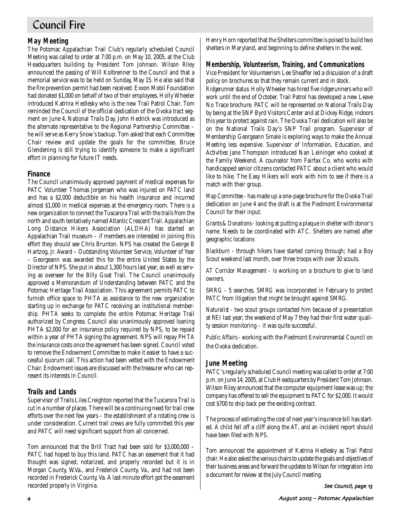# Council Fire

## **May Meeting**

The Potomac Appalachian Trail Club's regularly scheduled Council Meeting was called to order at 7:00 p.m. on May 10, 2005, at the Club Headquarters building by President Tom Johnson. Wilson Riley announced the passing of Will Kolbrenner to the Council and that a memorial service was to be held on Sunday, May 15. He also said that the fire prevention permit had been received. Exxon Mobil Foundation had donated \$1,000 on behalf of two of their employees. Holly Wheeler introduced Katrina Hedlesky who is the new Trail Patrol Chair. Tom reminded the Council of the official dedication of the Ovoka tract segment on June 4, National Trails Day. John Hedrick was introduced as the alternate representative to the Regional Partnership Committee – he will serve as Kerry Snow's backup. Tom asked that each Committee Chair review and update the goals for the committee. Bruce Glendening is still trying to identify someone to make a significant effort in planning for future IT needs.

#### **Finance**

The Council unanimously approved payment of medical expenses for PATC Volunteer Thomas Jorgensen who was injured on PATC land and has a \$2,000 deductible on his health insurance and incurred almost \$1,000 in medical expenses at the emergency room. There is a new organization to connect the Tuscarora Trail with the trails from the north and south tentatively named Atlantic Crescent Trail. Appalachian Long Distance Hikers Association (ALDHA) has started an Appalachian Trail museum – if members are interested in joining this effort they should see Chris Brunton. NPS has created the George B Hartzog, Jr. Award – Outstanding Volunteer Service, Volunteer of Year – Georgeann was awarded this for the entire United States by the Director of NPS. She put in about 1,300 hours last year, as well as serving as overseer for the Billy Goat Trail. The Council unanimously approved a Memorandum of Understanding between PATC and the Potomac Heritage Trail Association. This agreement permits PATC to furnish office space to PHTA as assistance to the new organization starting up in exchange for PATC receiving an institutional membership. PHTA seeks to complete the entire Potomac Heritage Trail authorized by Congress. Council also unanimously approved loaning PHTA \$2,000 for an insurance policy required by NPS, to be repaid within a year of PHTA signing the agreement. NPS will repay PHTA the insurance costs once the agreement has been signed. Council voted to remove the Endowment Committee to make it easier to have a successful quorum call. This action had been vetted with the Endowment Chair. Endowment issues are discussed with the treasurer who can represent its interests in Council.

#### **Trails and Lands**

Supervisor of Trails Liles Creighton reported that the Tuscarora Trail is cut in a number of places. There will be a continuing need for trail crew efforts over the next few years – the establishment of a rotating crew is under consideration. Current trail crews are fully committed this year and PATC will need significant support from all concerned.

Tom announced that the Brill Tract had been sold for \$3,000,000 – PATC had hoped to buy this land. PATC has an easement that it had thought was signed, notarized, and properly recorded but it is in Morgan County, W.Va., and Frederick County, Va., and had not been recorded in Frederick County, Va. A last-minute effort got the easement recorded properly in Virginia.

Henry Horn reported that the Shelters committee is poised to build two shelters in Maryland, and beginning to define shelters in the west.

#### **Membership, Volunteerism, Training, and Communications**

Vice President for Volunteerism Lee Sheaffer led a discussion of a draft policy on brochures so that they remain current and in stock.

*Ridgerunner status:* Holly Wheeler has hired five ridgerunners who will work until the end of October. Trail Patrol has developed a new Leave No Trace brochure. PATC will be represented on National Trails Day by being at the SNP Byrd Visitors Center and at Dickey Ridge, indoors this year to protect against rain. The Ovoka Trail dedication will also be on the National Trails Day's SNP Trail program. Supervisor of Membership Georgeann Smale is exploring ways to make the Annual Meeting less expensive. Supervisor of Information, Education, and Activities Jane Thompson introduced Nan Leininger who cooked at the Family Weekend. A counselor from Fairfax Co. who works with handicapped senior citizens contacted PATC about a client who would like to hike. The Easy Hikers will work with him to see if there is a match with their group.

*Map Committee* - has made up a one-page brochure for the Ovoka Trail dedication on June 4 and the draft is at the Piedmont Environmental Council for their input.

*Grants & Donations* - looking at putting a plaque in shelter with donor's name. Needs to be coordinated with ATC. Shelters are named after geographic locations

*Blackburn* - through hikers have started coming through; had a Boy Scout weekend last month, over three troops with over 30 scouts.

*AT Corridor Management* - is working on a brochure to give to land owners.

*SMRG* - 5 searches, SMRG was incorporated in February to protect PATC from litigation that might be brought against SMRG.

*Naturalist* - two scout groups contacted him because of a presentation at REI last year; the weekend of May 7 they had their first water quality session monitoring – it was quite successful.

*Public Affairs* - working with the Piedmont Environmental Council on the Ovoka dedication.

#### **June Meeting**

PATC's regularly scheduled Council meeting was called to order at 7:00 p.m. on June 14, 2005, at Club Headquarters by President Tom Johnson. Wilson Riley announced that the computer equipment lease was up; the company has offered to sell the equipment to PATC for \$2,000. It would cost \$700 to ship back per the existing contract.

The process of estimating the cost of next year's insurance bill has started. A child fell off a cliff along the AT, and an incident report should have been filed with NPS.

Tom announced the appointment of Katrina Hedlesky as Trail Patrol chair. He also asked the various chairs to update the goals and objectives of their business areas and forward the updates to Wilson for integration into a document for review at the July Council meeting.

See Council page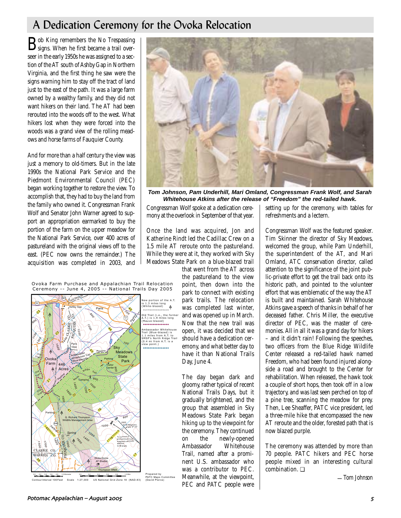# A Dedication Ceremony for the Ovoka Relocation

 $\mathbf{B}$ signs. When he first became a trail overseer in the early 1950s he was assigned to a section of the AT south of Ashby Gap in Northern Virginia, and the first thing he saw were the signs warning him to stay off the tract of land just to the east of the path. It was a large farm owned by a wealthy family, and they did not want hikers on their land. The AT had been rerouted into the woods off to the west. What hikers lost when they were forced into the woods was a grand view of the rolling meadows and horse farms of Fauquier County.

And for more than a half century the view was just a memory to old-timers. But in the late 1990s the National Park Service and the Piedmont Environmental Council (PEC) began working together to restore the view. To accomplish that, they had to buy the land from the family who owned it. Congressman Frank Wolf and Senator John Warner agreed to support an appropriation earmarked to buy the portion of the farm on the upper meadow for the National Park Service, over 400 acres of pastureland with the original views off to the east. (PEC now owns the remainder.) The acquisition was completed in 2003, and



**Tom Johnson, Pam Underhill, Mari Omland, Congressman Frank Wolf, and Sarah Whitehouse Atkins after the release of "Freedom" the red-tailed hawk.**

Congressman Wolf spoke at a dedication ceremony at the overlook in September of that year.

Once the land was acquired, Jon and Katherine Rindt led the Cadillac Crew on a 1.5 mile AT reroute onto the pastureland. While they were at it, they worked with Sky Meadows State Park on a blue-blazed trail

that went from the AT across the pastureland to the view point, then down into the park to connect with existing park trails. The relocation was completed last winter, and was opened up in March. Now that the new trail was open, it was decided that we should have a dedication ceremony, and what better day to have it than National Trails Day, June 4.

The day began dark and gloomy, rather typical of recent National Trails Days, but it gradually brightened, and the group that assembled in Sky Meadows State Park began hiking up to the viewpoint for the ceremony. They continued on the newly-opened<br>Ambassador Whitehouse Ambassador Trail, named after a prominent U.S. ambassador who was a contributor to PEC. Meanwhile, at the viewpoint, PEC and PATC people were

setting up for the ceremony, with tables for refreshments and a lectern.

Congressman Wolf was the featured speaker. Tim Skinner the director of Sky Meadows, welcomed the group, while Pam Underhill, the superintendent of the AT, and Mari Omland, ATC conservation director, called attention to the significance of the joint public-private effort to get the trail back onto its historic path, and pointed to the volunteer effort that was emblematic of the way the AT is built and maintained. Sarah Whitehouse Atkins gave a speech of thanks in behalf of her deceased father. Chris Miller, the executive director of PEC, was the master of ceremonies. All in all it was a grand day for hikers – and it didn't rain! Following the speeches, two officers from the Blue Ridge Wildlife Center released a red-tailed hawk named Freedom, who had been found injured alongside a road and brought to the Center for rehabilitation. When released, the hawk took a couple of short hops, then took off in a low trajectory, and was last seen perched on top of a pine tree, scanning the meadow for prey. Then, Lee Sheaffer, PATC vice president, led a three-mile hike that encompassed the new AT reroute and the older, forested path that is now blazed purple.

The ceremony was attended by more than 70 people. PATC hikers and PEC horse people mixed in an interesting cultural combination. ❏

*—Tom Johnson*





Contour Interval 100 Feet Scale 1:27,000 US National Grid Zone 18 (NAD-83) Prepared by PATC Maps Committee (David Pierce)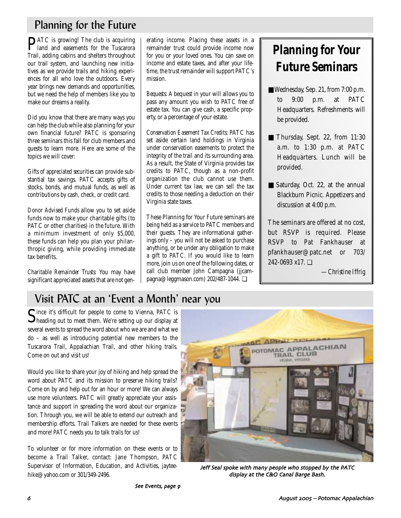# Planning for the Future

**PATC** is growing! The club is acquiring land and easements for the Tuscarora Trail, adding cabins and shelters throughout our trail system, and launching new initiatives as we provide trails and hiking experiences for all who love the outdoors. Every year brings new demands and opportunities, but we need the help of members like you to make our dreams a reality.

Did you know that there are many ways you can help the club while also planning for your own financial future? PATC is sponsoring three seminars this fall for club members and guests to learn more. Here are some of the topics we will cover:

*Gifts of appreciated securities* can provide substantial tax savings. PATC accepts gifts of stocks, bonds, and mutual funds, as well as contributions by cash, check, or credit card.

*Donor Advised Funds* allow you to set aside funds now to make your charitable gifts (to PATC or other charities) in the future. With a minimum investment of only \$5,000, these funds can help you plan your philanthropic giving, while providing immediate tax benefits.

*Charitable Remainder Trusts*: You may have significant appreciated assets that are not generating income. Placing these assets in a remainder trust could provide income now for you or your loved ones. You can save on income and estate taxes, and after your lifetime, the trust remainder will support PATC's mission.

*Bequests:* A bequest in your will allows you to pass any amount you wish to PATC free of estate tax. You can give cash, a specific property, or a percentage of your estate.

*Conservation Easement Tax Credits:* PATC has set aside certain land holdings in Virginia under conservation easements to protect the integrity of the trail and its surrounding area. As a result, the State of Virginia provides tax credits to PATC, though as a non-profit organization the club cannot use them. Under current tax law, we can sell the tax credits to those needing a deduction on their Virginia state taxes.

These Planning for Your Future seminars are being held as a service to PATC members and their guests. They are informational gatherings only – you will not be asked to purchase anything, or be under any obligation to make a gift to PATC. If you would like to learn more, join us on one of the following dates, or call club member John Campagna (jjcampagna@leggmason.com) 202/487-1044. ❏

# **Planning for Your Future Seminars**

- Wednesday, Sep. 21, from 7:00 p.m. to 9:00 p.m. at PATC Headquarters. Refreshments will be provided.
- Thursday, Sept. 22, from 11:30 a.m. to 1:30 p.m. at PATC Headquarters. Lunch will be provided.
- Saturday, Oct. 22, at the annual Blackburn Picnic. Appetizers and discussion at 4:00 p.m.

The seminars are offered at no cost, but RSVP is required. Please RSVP to Pat Fankhauser at pfankhauser@patc.net or 703/ 242-0693 x17. ❏

*—Christine Iffrig*

# Visit PATC at an 'Event a Month' near you

Since it's difficult for people to come to Vienna, PATC is heading out to meet them. We're setting up our display at several events to spread the word about who we are and what we do – as well as introducing potential new members to the Tuscarora Trail, Appalachian Trail, and other hiking trails. Come on out and visit us!

Would you like to share your joy of hiking and help spread the word about PATC and its mission to preserve hiking trails? Come on by and help out for an hour or more! We can always use more volunteers. PATC will greatly appreciate your assistance and support in spreading the word about our organization. Through you, we will be able to extend our outreach and membership efforts. Trail Talkers are needed for these events and more! PATC needs you to talk trails for us!

To volunteer or for more information on these events or to become a Trail Talker, contact: Jane Thompson, PATC Supervisor of Information, Education, and Activities, jayteehike@yahoo.com or 301/349-2496.



Jeff Seal spoke with many people who stopped by the PATC display at the C&O Canal Barge Bash.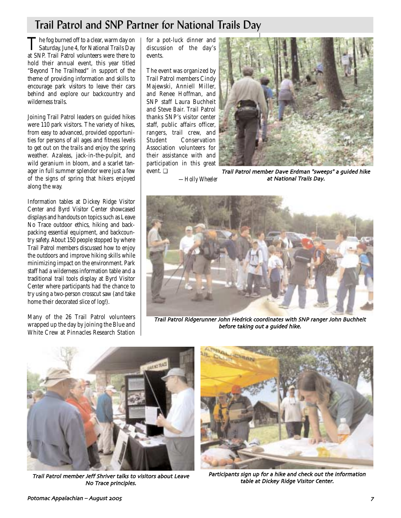# Trail Patrol and SNP Partner for National Trails Day

The fog burned off to a clear, warm day on<br>Saturday, June 4, for National Trails Day at SNP. Trail Patrol volunteers were there to hold their annual event, this year titled "Beyond The Trailhead" in support of the theme of providing information and skills to encourage park visitors to leave their cars behind and explore our backcountry and wilderness trails.

Joining Trail Patrol leaders on guided hikes were 110 park visitors. The variety of hikes, from easy to advanced, provided opportunities for persons of all ages and fitness levels to get out on the trails and enjoy the spring weather. Azaleas, jack-in-the-pulpit, and wild geranium in bloom, and a scarlet tanager in full summer splendor were just a few of the signs of spring that hikers enjoyed along the way.

Information tables at Dickey Ridge Visitor Center and Byrd Visitor Center showcased displays and handouts on topics such as Leave No Trace outdoor ethics, hiking and backpacking essential equipment, and backcountry safety. About 150 people stopped by where Trail Patrol members discussed how to enjoy the outdoors and improve hiking skills while minimizing impact on the environment. Park staff had a wilderness information table and a traditional trail tools display at Byrd Visitor Center where participants had the chance to try using a two-person crosscut saw (and take home their decorated slice of log!).

Many of the 26 Trail Patrol volunteers wrapped up the day by joining the Blue and White Crew at Pinnacles Research Station for a pot-luck dinner and discussion of the day's events.

The event was organized by Trail Patrol members Cindy Majewski, Anniell Miller, and Renee Hoffman, and SNP staff Laura Buchheit and Steve Bair. Trail Patrol thanks SNP's visitor center staff, public affairs officer, rangers, trail crew, and Conservation Association volunteers for their assistance with and participation in this great event. ❏



*—Holly Wheeler* Trail Patrol member Dave Erdman "sweeps" a guided hike at National Trails Day



Trail Patrol Ridgerunner John Hedrick coordinates with SNP ranger John Buchheit before taking out a guided hike



Trail Patrol member Jeff Shriver talks to visitors about Leave and the Carticipants sign up for a hike and check out the<br>.No Trace principles No Trace principles



Participants sign up for a hike and check out the information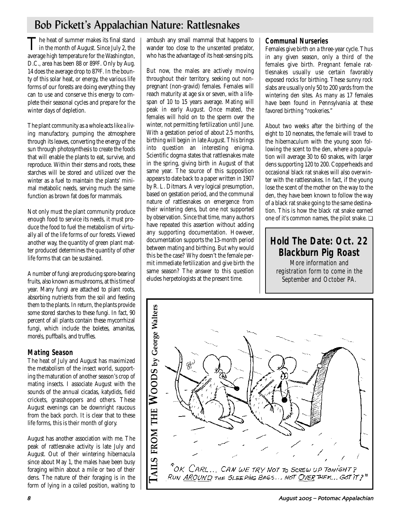# Bob Pickett's Appalachian Nature: Rattlesnakes

The heat of summer makes its final stand<br>in the month of August. Since July 2, the average high temperature for the Washington, D.C., area has been 88 or 89ºF. Only by Aug. 14 does the average drop to 87ºF. In the bounty of this solar heat, or energy, the various life forms of our forests are doing everything they can to use and conserve this energy to complete their seasonal cycles and prepare for the winter days of depletion.

The plant community as a whole acts like a living manufactory, pumping the atmosphere through its leaves, converting the energy of the sun through photosynthesis to create the foods that will enable the plants to eat, survive, and reproduce. Within their stems and roots, these starches will be stored and utilized over the winter as a fuel to maintain the plants' minimal metabolic needs, serving much the same function as brown fat does for mammals.

Not only must the plant community produce enough food to service its needs, it must produce the food to fuel the metabolism of virtually all of the life forms of our forests. Viewed another way, the quantity of green plant matter produced determines the quantity of other life forms that can be sustained.

A number of fungi are producing spore-bearing fruits, also known as mushrooms, at this time of year. Many fungi are attached to plant roots, absorbing nutrients from the soil and feeding them to the plants. In return, the plants provide some stored starches to these fungi. In fact, 90 percent of all plants contain these mycorrhizal fungi, which include the boletes, amanitas, morels, puffballs, and truffles.

## **Mating Season**

The heat of July and August has maximized the metabolism of the insect world, supporting the maturation of another season's crop of mating insects. I associate August with the sounds of the annual cicadas, katydids, field crickets, grasshoppers and others. These August evenings can be downright raucous from the back porch. It is clear that to these life forms, this is their month of glory.

August has another association with me. The peak of rattlesnake activity is late July and August. Out of their wintering hibernacula since about May 1, the males have been busy foraging within about a mile or two of their dens. The nature of their foraging is in the form of lying in a coiled position, waiting to

ambush any small mammal that happens to wander too close to the unscented predator, who has the advantage of its heat-sensing pits.

But now, the males are actively moving throughout their territory, seeking out nonpregnant (non-gravid) females. Females will reach maturity at age six or seven, with a lifespan of 10 to 15 years average. Mating will peak in early August. Once mated, the females will hold on to the sperm over the winter, not permitting fertilization until June. With a gestation period of about 2.5 months, birthing will begin in late August. This brings into question an interesting enigma. Scientific dogma states that rattlesnakes mate in the spring, giving birth in August of that same year. The source of this supposition appears to date back to a paper written in 1907 by R. L. Ditmars. A very logical presumption, based on gestation period, and the communal nature of rattlesnakes on emergence from their wintering dens, but one not supported by observation. Since that time, many authors have repeated this assertion without adding any supporting documentation. However, documentation supports the 13-month period between mating and birthing. But why would this be the case? Why doesn't the female permit immediate fertilization and give birth the same season? The answer to this question eludes herpetologists at the present time.

## **Communal Nurseries**

Females give birth on a three-year cycle. Thus in any given season, only a third of the females give birth. Pregnant female rattlesnakes usually use certain favorably exposed rocks for birthing. These sunny rock slabs are usually only 50 to 200 yards from the wintering den sites. As many as 17 females have been found in Pennsylvania at these favored birthing "rookeries."

About two weeks after the birthing of the eight to 10 neonates, the female will travel to the hibernaculum with the young soon following the scent to the den, where a population will average 30 to 60 snakes, with larger dens supporting 120 to 200. Copperheads and occasional black rat snakes will also overwinter with the rattlesnakes. In fact, if the young lose the scent of the mother on the way to the den, they have been known to follow the way of a black rat snake going to the same destination. This is how the black rat snake earned one of it's common names, the pilot snake. ❏

# **Hold The Date: Oct. 22 Blackburn Pig Roast**

More information and registration form to come in the September and October PA.

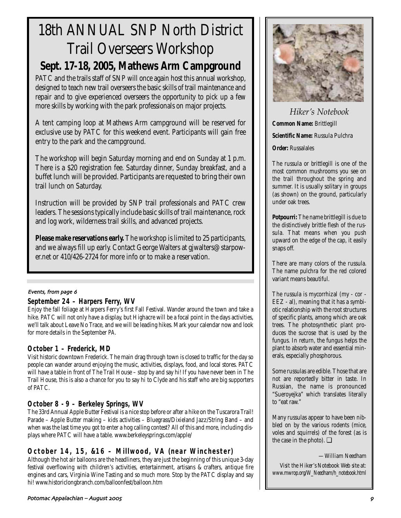# 18th ANNUAL SNP North District Trail Overseers Workshop **Sept. 17-18, 2005, Mathews Arm Campground**

PATC and the trails staff of SNP will once again host this annual workshop, designed to teach new trail overseers the basic skills of trail maintenance and repair and to give experienced overseers the opportunity to pick up a few more skills by working with the park professionals on major projects.

A tent camping loop at Mathews Arm campground will be reserved for exclusive use by PATC for this weekend event. Participants will gain free entry to the park and the campground.

The workshop will begin Saturday morning and end on Sunday at 1 p.m. There is a \$20 registration fee. Saturday dinner, Sunday breakfast, and a buffet lunch will be provided. Participants are requested to bring their own trail lunch on Saturday.

Instruction will be provided by SNP trail professionals and PATC crew leaders. The sessions typically include basic skills of trail maintenance, rock and log work, wilderness trail skills, and advanced projects.

**Please make reservations early.** The workshop is limited to 25 participants, and we always fill up early. Contact George Walters at gjwalters@starpower.net or 410/426-2724 for more info or to make a reservation.

#### Events, from page 6

## **September 24 – Harpers Ferry, WV**

Enjoy the fall foliage at Harpers Ferry's first Fall Festival. Wander around the town and take a hike. PATC will not only have a display, but Highacre will be a focal point in the days activities, we'll talk about Leave No Trace, and we will be leading hikes. Mark your calendar now and look for more details in the September *PA*.

## **October 1 – Frederick, MD**

Visit historic downtown Frederick. The main drag through town is closed to traffic for the day so people can wander around enjoying the music, activities, displays, food, and local stores. PATC will have a table in front of The Trail House – stop by and say hi! If you have never been in The Trail House, this is also a chance for you to say hi to Clyde and his staff who are big supporters of PATC.

## **October 8 - 9 – Berkeley Springs, WV**

The 33rd Annual Apple Butter Festival is a nice stop before or after a hike on the Tuscarora Trail! Parade – Apple Butter making – kids activities – Bluegrass/Dixieland Jazz/String Band – and when was the last time you got to enter a hog calling contest? All of this and more, including displays where PATC will have a table. www.berkeleysprings.com/apple/

## **October 14, 15, &16 – Millwood, VA (near Winchester)**

Although the hot air balloons are the headliners, they are just the beginning of this unique 3-day festival overflowing with children's activities, entertainment, artisans & crafters, antique fire engines and cars, Virginia Wine Tasting and so much more. Stop by the PATC display and say hi! www.historiclongbranch.com/balloonfest/balloon.htm

*Hiker's Notebook* **Common Name:** Brittlegill **Scientific Name:** Russula Pulchra **Order:** Russalales

The russula or brittlegill is one of the most common mushrooms you see on the trail throughout the spring and summer. It is usually solitary in groups (as shown) on the ground, particularly under oak trees.

**Potpourri:** The name brittlegill is due to the distinctively brittle flesh of the russula. That means when you push upward on the edge of the cap, it easily snaps off.

There are many colors of the russula. The name pulchra for the red colored variant means beautiful.

The russula is mycorrhizal (my - cor - EEZ - al), meaning that it has a symbiotic relationship with the root structures of specific plants, among which are oak trees. The photosynthetic plant produces the sucrose that is used by the fungus. In return, the fungus helps the plant to absorb water and essential minerals, especially phosphorous.

Some russulas are edible. Those that are not are reportedly bitter in taste. In Russian, the name is pronounced "Sueroyejka" which translates literally to "eat raw."

Many russulas appear to have been nibbled on by the various rodents (mice, voles and squirrels) of the forest (as is the case in the photo).  $\Box$ 

*—William Needham*

*Visit the Hiker's Notebook Web site at: www.mwrop.org/W\_Needham/h\_notebook.html*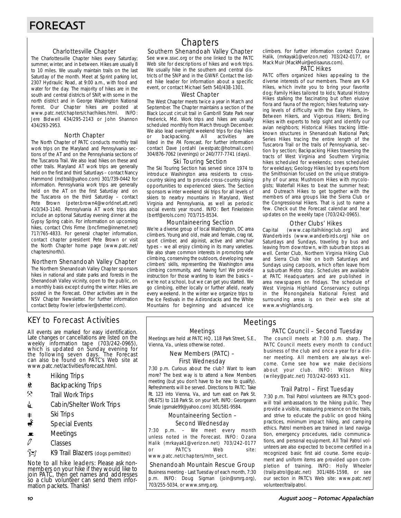#### Charlottesville Chapter

The Charlottesville Chapter hikes every Saturday; summer, winter, and in between. Hikes are usually 8 to 10 miles. We usually maintain trails on the last Saturday of the month. Meet at Sprint parking lot, 2307 Hydraulic Road, at 9:00 a.m., with food and water for the day. The majority of hikes are in the south and central districts of SNP, with some in the north district and in George Washington National Forest. Our Chapter hikes are posted at www.patc.net/chapters/char/hikes.html. INFO: Jere Bidwell 434/295-2143 or John Shannon 434/293-2953.

#### North Chapter

The North Chapter of PATC conducts monthly trail work trips on the Maryland and Pennsylvania sections of the AT and on the Pennsylvania sections of the Tuscarora Trail. We also lead hikes on these and other trails. Maryland AT work trips are generally held on the first and third Saturdays – contact Nancy Hammond (mdtrail@yahoo.com) 301/739-0442 for information. Pennsylvania work trips are generally held on the AT on the first Saturday and on the Tuscarora on the third Saturday – contact Pete Brown (peter.brown4@worldnet.att.net) 410/343-1140. Pennsylvania AT work trips also include an optional Saturday evening dinner at the Gypsy Spring cabin. For information on upcoming hikes, contact Chris Firme (bncfirme@innernet.net) 717/765-4833. For general chapter information, contact chapter president Pete Brown or visit the North Chapter home page (www.patc.net/ chapters/north/).

#### Northern Shenandoah Valley Chapter

The Northern Shenandoah Valley Chapter sponsors hikes in national and state parks and forests in the Shenandoah Valley vicinity, open to the public, on a monthly basis except during the winter. Hikes are posted in the Forecast. Other activities are in the NSV Chapter Newsletter. For further information contact Betsy Fowler (efowler@shentel.com).

# KEY to Forecast Activities

All events are marked for easy identification. Late changes or cancellations are listed on the weekly information tape (703/242-0965), which is updated on Sunday evening for the following seven days. The Forecast can also be found on PATC's Web site at www.patc.net/activities/forecast.html.

- **\*** Hiking Trips
- \* Backpacking Trips
- $\mathcal{R}$  Trail Work Trips
- **4** Cabin/Shelter Work Trips
- 
- Ri Trips‱<br>ا Special Special Events
- $\blacksquare$  Meetings
- $\mathcal{O}$  Classes
- z K9 Trail Blazers (dogs permitted)

Note to all hike leaders: Please ask nonmembers on your hike if they would like to join PATC, thén get names ánd addresses so a club volunteer can send them information packets. Thanks!

# **Chapters**

#### Southern Shenandoah Valley Chapter

See www.ssvc.org or the one linked to the PATC Web site for descriptions of hikes and work trips. We usually hike in the southern and central districts of the SNP and in the GWNF. Contact the listed hike leader for information about a specific event, or contact Michael Seth 540/438-1301.

#### West Chapter

The West Chapter meets twice a year in March and September. The Chapter maintains a section of the Black Locust circuit trail in Gambrill State Park near Frederick, Md. Work trips and hikes are usually scheduled monthly from March through December. We also lead overnight weekend trips for day hikes<br>or backpacking. All activities are or backpacking. All activities are listed in the PA Forecast. For further information contact Dave Jordahl (westpatc@hotmail.com) 304/876-7062 (evenings) or 240/777-7741 (days).

#### Ski Touring Section

The Ski Touring Section has served since 1974 to introduce Washington area residents to crosscountry skiing and to provide cross-country skiing opportunities to experienced skiers. The Section sponsors winter weekend ski trips for all levels of skiers to nearby mountains in Maryland, West Virginia and Pennsylvania, as well as periodic social events year round. INFO: Bert Finkelstein (bertf@erols.com) 703/715-8534.

#### Mountaineering Section

We're a diverse group of local Washington, DC area climbers. Young and old, male and female, crag rat, sport climber, and alpinist, active and armchair types – we all enjoy climbing in its many varieties. We also share common interests in promoting safe climbing, conserving the outdoors, developing new climbers' skills, representing the Washington area climbing community, and having fun! We provide instruction for those wanting to learn the basics – we're not a school, but we can get you started. We go climbing, either locally or further afield, nearly every weekend. In the winter we organize trips to the Ice Festivals in the Adirondacks and the White Mountains for beginning and advanced ice

climbers. For further information contact Ozana Halik, (mrkayak1@verizon.net) 703/242-0177, or Mack Muir (MackMuir@edisaurus.com).

#### PATC Hikes

PATC offers organized hikes appealing to the diverse interests of our members. There are K-9 Hikes, which invite you to bring your favorite dog; Family Hikes tailored to kids; Natural History Hikes stalking the fascinating but often elusive flora and fauna of the region; hikes featuring varying levels of difficulty with the Easy Hikers, In-Between Hikers, and Vigorous Hikers; Birding Hikes with experts to help sight and identify our avian neighbors; Historical Hikes tracking littleknown structures in Shenandoah National Park; Series Hikes tracing the entire length of the Tuscarora Trail or the trails of Pennsylvania, section by section; Backpacking Hikes traversing the tracts of West Virginia and Southern Virginia; hikes scheduled for weekends; ones scheduled for weekdays; Geology Hikes led by experts from the Smithsonian focused on the unique stratigraphy of our area; Mushroom Hikes with mycologists; Waterfall Hikes to beat the summer heat; and Outreach Hikes to get together with the members of area groups like the Sierra Club or the Congressional Hikers. That is just to name a few. Check out the Forecast calendar and hear updates on the weekly tape (703/242-0965).

#### Other Clubs' Hikes

Capital (www.capitalhikingclub.org) and Wanderbirds (www.wanderbirds.org) hike on Saturdays and Sundays, traveling by bus and leaving from downtown, with suburban stops as well. Center Club, Northern Virginia Hiking Club and Sierra Club hike on both Saturdays and Sundays using carpools, which often leave from a suburban Metro stop. Schedules are available at PATC Headquarters and are published in area newspapers on Fridays. The schedule of West Virginia Highland Conservancy outings in the Monongahela National Forest and surrounding areas is on their web site at www.wvhighlands.org.

Meetings

Meetings

#### Meetings are held at PATC HQ, 118 Park Street, S.E., Vienna, Va., unless otherwise noted.

#### New Members (PATC) – First Wednesday

7:30 p.m. Curious about the club? Want to learn more? The best way is to attend a New Members meeting (but you don't have to be new to qualify). Refreshments will be served. Directions to PATC: Take Rt. 123 into Vienna, Va., and turn east on Park St. (Rt.675) to 118 Park St. on your left. INFO: Georgeann Smale (gsmale99@yahoo.com) 301/581-9584.

#### Mountaineering Section – Second Wednesday

7:30 p.m. – We meet every month unless noted in the Forecast. INFO: Ozana Halik (mrkayak1@verizon.net) 703/242-0177 or PATC's Web site: www.patc.net/chapters/mtn\_sect.

#### Shenandoah Mountain Rescue Group

Business meeting - Last Tuesday of each month, 7:30 p.m. INFO: Doug Sigman (join@smrg.org), 703/255-5034, or www.smrg.org.

## PATC Council – Second Tuesday

The council meets at 7:00 p.m. sharp. The PATC Council meets every month to conduct business of the club and once a year for a dinner meeting. All members are always welcome. Come see how we make decisions about your club. INFO: Wilson Riley (wriley@patc.net) 703/242-0693 x11.

#### Trail Patrol – First Tuesday

7:30 p.m. Trail Patrol volunteers are PATC's goodwill trail ambassadors to the hiking public. They provide a visible, reassuring presence on the trails, and strive to educate the public on good hiking practices, minimum impact hiking, and camping ethics. Patrol members are trained in land navigation, emergency procedures, radio communications, and personal equipment. All Trail Patrol volunteers are also expected to become certified in a recognized basic first aid course. Some equipment and uniform items are provided upon completion of training. INFO: Holly Wheeler (trailpatrol@patc.net) 301/486-1598, or see our section in PATC's Web site: www.patc.net/ volunteer/trailpatrol.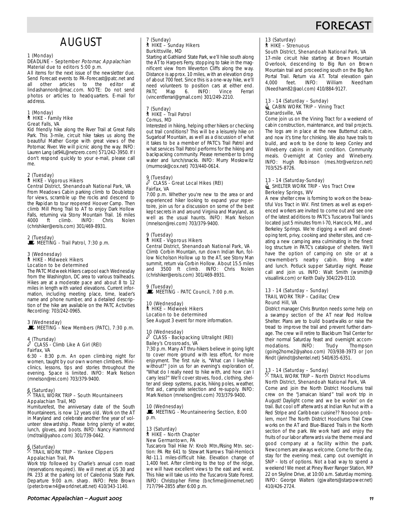# **FORECAS**

# AUGUST

# 1 (Monday)

#### DEADLINE – September Potomac Appalachian Material due to editors 5:00 p.m.

All items for the next issue of the newsletter due. Send Forecast events to PA-Forecast@patc.net and<br>all other articles to the editor at all other articles to the lindashannonb@mac.com. NOTE: Do not send photos or articles to headquarters. E-mail for address.

#### 1 (Monday) ` HIKE - Family Hike Great Falls, VA

Kid friendly hike along the River Trail at Great Falls Park. This 3-mile, circuit hike takes us along the beautiful Mather Gorge with great views of the Potomac River. We will picnic along the way. INFO: Lauren Lang (at94L@netzero.com) 571/242-3950. If I don't respond quickly to your e-mail, please call me.

#### 2 (Tuesday)

## ` HIKE - Vigorous Hikers

Central District, Shenandoah National Park, VA From Meadows Cabin parking climb to Doubletop for views, scramble up the rocks and descend to the Rapidan to tour reopened Hoover Camp. Then climb Mill Prong Trail to AT to enjoy Dark Hollow Falls, returning via Stony Mountain Trail. 16 miles 4000 ft climb. INFO: Chris Nolen (chrishiker@erols.com) 301/469-8931.

# 2 (Tuesday)<br>■ MEETING - Trail Patrol, 7:30 p.m.

#### 3 (Wednesday) ` HIKE - Midweek Hikers

Location to be determined The PATC Midweek Hikers carpool each Wednesday from the Washington, DC area to various trailheads. Hikes are at a moderate pace and about 8 to 12 miles in length with varied elevations. Current information, including meeting place, time, leader's name and phone number, and a detailed description of the hike are available on the PATC Activities Recording: 703/242-0965.

#### 3 (Wednesday)  $\mathbf{\mathbb{E}}$  MEETING - New Members (PATC), 7:30 p.m.

# 4 (Thursday) a CLASS - Climb Like A Girl (REI) Fairfax, VA

6:30 - 8:30 p.m. An open climbing night for women, taught by our own women climbers. Miniclinics, lessons, tips and stories throughout the evening. Space is limited. INFO: Mark Nelson (mnelson@rei.com) 703/379-9400.

### 6 (Saturday) . TRAIL WORK TRIP – South Mountaineers Appalachian Trail, MD

Humiturefest, the anniversary date of the South Mountaineers, is now 12 years old. Work on the AT in Maryland and celebrate another fine year of volunteer stewardship. Please bring plenty of water, lunch, gloves, and boots. INFO: Nancy Hammond (mdtrail@yahoo.com) 301/739-0442.

# 6 (Saturday) . TRAIL WORK TRIP – Yankee Clippers Appalachian Trail, PA

Work trip followed by Charlie's annual corn roast (reservations required). We will meet at US 30 and PA 233 at the parking lot of Caledonia State Park. Departure 9:00 a.m. sharp. INFO: Pete Brown (peter.brown4@worldnet.att.net) 410/343-1140.

#### 7 (Sunday) ` HIKE – Sunday Hikers Burkittsville, MD

Starting at Gathland State Park, we'll hike south along the AT to Harpers Ferry, stopping to take in the magnificent view from Weverton Cliffs along the way. Distance is approx. 10 miles, with an elevation drop of about 700 feet. Since this is a one-way hike, we'll need volunteers to position cars at either end.<br>PATC Map 6. INFO: Vince Ferrari Map 6. INFO: (vincentferrari@gmail.com) 301/249-2210.

#### 7 (Sunday) ` HIKE – Trail Patrol Comus, MD

Interested in hiking, helping other hikers or checking out trail conditions? This will be a leisurely hike on Sugarloaf Mountain, as well as a discussion of what it takes to be a member of PATC's Trail Patrol and what services Trail Patrol performs for the hiking and backpacking community. Please remember to bring water and lunch/snacks. INFO: Murry Moskowitz (murmosk@cox.net) 703/440-0614.

#### 9 (Tuesday) CLASS - Great Local Hikes (REI) Fairfax, VA

7:00 p.m. Whether you're new to the area or and experienced hiker looking to expand your repertoire, join us for a discussion on some of the best kept secrets in and around Virginia and Maryland, as well as the usual haunts. INFO: Mark Nelson (mnelson@rei.com) 703/379-9400.

#### 9 (Tuesday) ` HIKE - Vigorous Hikers Central District, Shenandoah National Park, VA

Climb Corbin Mountain, run down Indian Run, follow Nicholson Hollow up to the AT, see Stony Man summit, return via Corbin Hollow. About 15.5 miles and 3500 ft climb. INFO: Chris Nolen (chrishiker@erols.com) 301/469-8931.

#### 9 (Tuesday)  $\mathbf{\dot{E}}$  MEETING - PATC Council, 7:00 p.m.

10 (Wednesday) ` HIKE – Midweek Hikers Location to be determined See August 3 event for more information.

10 (Wednesday)

#### a CLASS - Backpacking Ultralight (REI) Bailey's Crossroads, VA

7:30 p.m. Many AT thru-hikers believe in going light to cover more ground with less effort, for more enjoyment. The first rule is, "What can I live/hike without?" Join us for an evening's exploration of, "What do I really need to hike with, and how can I carry less?" We'll cover stoves, food, clothing, shelter and sleep systems, packs, hiking poles, weather, first aid, campsite selection and re-supply. INFO: Mark Nelson (mnelson@rei.com) 703/379-9400.

#### 10 (Wednesday)

**MEETING - Mountaineering Section, 8:00** p.m.

#### 13 (Saturday) ` HIKE – North Chapter New Germantown, PA

Tuscarora Trail Hike IV: Knob Mtn./Rising Mtn. section: PA Rte 641 to Stewart Narrows Trail-Hemlock Rd-11.1 miles-difficult hike. Elevation change of 1,400 feet. After climbing to the top of the ridge, we will have excellent views to the east and west. This hike will take us into the Tuscarora State Forest. INFO: Christopher Firme (bncfirme@innernet.net) 717/794-2855 after 6:00 p.m.

#### 13 (Saturday) ` HIKE – Strenuous

South District, Shenandoah National Park, VA 17-mile circuit hike starting at Brown Mountain Overlook, descending to Big Run on Brown Mountain trail and proceeding south on the Big Run Portal Trail. Return via AT. Total elevation gain<br>4,000 feet. INFO: William Needham 4,000 feet. INFO: William Needham

#### 13 - 14 (Saturday – Sunday)  $\triangleq$  CABIN WORK TRIP – Vining Tract Stanardsville, VA

(Needham82@aol.com) 410/884-9127.

Come join us on the Vining Tract for a weekend of cabin construction, maintenance, and trail projects. The logs are in place at the new Butternut cabin, and now it's time for chinking. We also have trails to build, and work to be done to keep Conley and Wineberry cabins in mint condition. Community meals. Overnight at Conley and Wineberry. INFO: Hugh Robinson (mes.htr@verizon.net) 703/525-8726.

#### 13 - 14 (Saturday-Sunday) **EXTELTER WORK TRIP - Vos Tract Crew** Berkeley Springs, WV

A new shelter crew is forming to work on the beautiful Vos Tract in WV. First timers as well as experienced workers are invited to come out and see one of the latest additions to PATC's Tuscarora Trail lands located just 5 minutes from I-70, Hancock, Md., and Berkeley Springs. We're digging a well and developing tent, privy, cooking and shelter sites, and creating a new camping area culminating in the finest log structure in PATC's catalogue of shelters. We'll have the option of camping on site or at a crewmember's nearby cabin. Bring water and lunch. Potluck supper Saturday night. Please call and join us. INFO: Walt Smith (wsmith@ visuallink.com) or Keith Daily 304/229-0110.

#### 13 - 14 (Saturday – Sunday) TRAIL WORK TRIP – Cadillac Crew Round Hill, VA

District manager Chris Brunton needs some help on a swampy section of the AT near Rod Hollow Shelter. Plans are to build boardwalks or raise the tread to improve the trail and prevent further damage. The crew will retire to Blackburn Trail Center for their normal Saturday feast and overnight accommodations. INFO: Trudy Thompson (going2home2@yahoo.com) 703/938-3973 or Jon Rindt (jkrindt@shentel.net) 540/635-6351.

#### 13 - 14 (Saturday – Sunday)  $\%$  TRAIL WORK TRIP – North District Hoodlums North District, Shenandoah National Park, VA

Come and join the North District Hoodlums trail crew on the "Jamaican Island" trail work trip in August! Daylight come and we be workin' on de trail. But cool off afterwards at Indian Run hut with a Red Stripe and Caribbean cuisine?? Nooooo problem, mon! The North District Hoodlums Trail Crew works on the AT and Blue-Blazed Trails in the North section of the park. We work hard and enjoy the fruits of our labor afterwards via the theme meal and good company at a facility within the park. Newcomers are always welcome. Come for the day, stay for the evening meal, camp out overnight in SNP – lots of options. Not a bad way to spend a weekend! We meet at Piney River Ranger Station, MP 22 on Skyline Drive, at 10:00 a.m. Saturday morning. INFO: George Walters (gjwalters@starpower.net) 410/426-2724.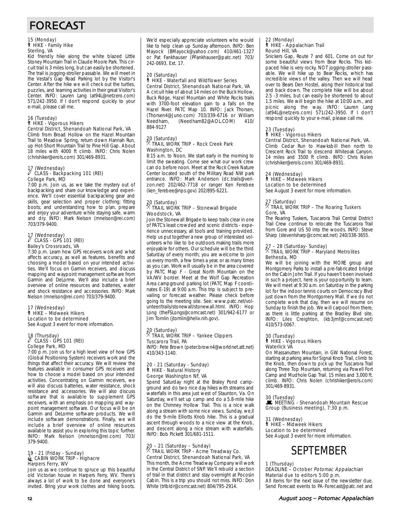# FORECAST

#### 15 (Monday) ` HIKE - Family Hike Sterling, VA

Kid friendly hike along the white blazed Little Stoney Mountain Trail in Claude Moore Park. This circuit trail is 3 miles long, but can easily be shortened. The trail is jogging-stroller passable. We will meet in the Vestal's Gap Road Parking lot by the Visitor's Center. After the hike we will check out the turtles, puzzles, and learning activities in their great Visitor's Center. INFO: Lauren Lang (at94L@netzero.com) 571/242-3950. If I don't respond quickly to your e-mail, please call me.

# 16 (Tuesday) ` HIKE - Vigorous Hikers

Central District, Shenandoah National Park, VA Climb from Broad Hollow on the Hazel Mountain Trail to Meadow Spring, return down Hannah Run, up Hot-Short Mountain Trail to Pine Hill Gap. About 18 miles with 4000 ft climb. INFO: Chris Nolen (chrishiker@erols.com) 301/469-8931.

#### 17 (Wednesday) CLASS - Backpacking 101 (REI) College Park, MD

7:00 p.m. Join us, as we take the mystery out of backpacking and share our knowledge and experience. We'll cover essential backpacking gear and skills, gear selection and proper clothing; fitting boots; and understanding how to plan, prepare and enjoy your adventure while staying safe, warm and dry. INFO: Mark Nelson (mnelson@rei.com) 703/379-9400.

## 17 (Wednesday) a CLASS - GPS 101 (REI) Bailey's Crossroads, VA

7:30 p.m. Learn how GPS receivers work and what affects accuracy, as well as features, benefits and choosing a model based on your intended activities. We'll focus on Garmin receivers, and discuss mapping and waypoint management software from Garmin and DeLorme. We'll also include a brief overview of online resources and batteries, water and shock resistance and accessories. INFO: Mark Nelson (mnelson@rei.com) 703/379-9400.

#### 17 (Wednesday) ` HIKE – Midweek Hikers Location to be determined See August 3 event for more information.

# 18 (Thursday) a CLASS - GPS 101 (REI) College Park, MD

7:00 p.m. Join us for a high level view of how GPS (Global Positioning System) receivers work and the things that affect their accuracy. We will review the features available in consumer GPS receivers and how to choose a model based on your intended activities. Concentrating on Garmin receivers, we will also discuss batteries, water resistance, shock resistance and accessories. We will also discuss software that is available to supplement GPS receivers, with an emphasis on mapping and waypoint management software. Our focus will be on Garmin and DeLorme software products. We will include software demonstrations. Finally, we will include a brief overview of online resources available to assist you in exploring this topic further. INFO: Mark Nelson (mnelson@rei.com) 703/ 379-9400.

# 19 - 21 (Friday - Sunday)<br>LacaBIN WORK TRIP - Highacre Harpers Ferry, WV

Join us as we continue to spruce up this beautiful old Victorian house in Harpers Ferry, WV. There's always a lot of work to be done and everyone's invited. Bring your work clothes and hiking boots.

We'd especially appreciate volunteers who would like to help clean up Sunday afternoon. INFO: Ben Mayock (BMayock@yahoo.com) 410/461-1327 or Pat Fankhauser (PFankhauser@patc.net) 703/ 242-0693, Ext. 17.

#### 20 (Saturday)

#### ` HIKE - Waterfall and Wildflower Series Central District, Shenandoah National Park, VA

A circuit hike of about 14 miles on the Buck Hollow, Buck Ridge, Hazel Mountain and White Rocks trails with 3700-foot elevation gain to a falls on the Hazel River. PATC Map 10. INFO: Jack Thorsen, (Thorsen4@Juno.com) 703/339-6716 or William (Needham82@AOL.COM) 884-9127

## 20 (Saturday) . TRAIL WORK TRIP – Rock Creek Park Washington, DC

8:15 a.m. to Noon. We start early in the morning to limit the sweating. Come see what our work crew can do before noon. Meet at the Rock Creek Nature Center located south of the Military Road NW park entrance. INFO: Mark Anderson (dc.trails@verizon.net) 202/462-7718 or ranger Ken Ferebee (ken\_ferebee@nps.gov) 202/895-6221.

#### 20 (Saturday) . TRAIL WORK TRIP – Stonewall Brigade Woodstock, VA

Join the Stonewall Brigade to keep trails clear in one of PATC's least crowded and scenic districts - experience unnecessary, all tools and training provided. Help us put together a new group of interested volunteers who like to be outdoors making trails more enjoyable for others. Our schedule will be the third Saturday of every month; you are welcome to join us every month, a few times a year, or as many times as you can. Work will usually be in the area covered by PATC Map F - Great North Mountain on the VA/WV border. Meet at the Wolf Gap Recreation Area campground parking lot (PATC Map F coordinates E-19) at 9:00 a.m. This trip is subject to prevailing or forecast weather. Please check before going to the meeting site. See: www.patc.net/volunteer/trails/stonewall/stonewall.html. INFO: Hop Long (theFSLongs@comcast.net) 301/942-6177 or Jim Tomlin (jtomlin@helix.nih.gov).

# 20 (Saturday) . TRAIL WORK TRIP – Yankee Clippers Tuscarora Trail, PA

INFO: Pete Brown (peter.brown4@worldnet.att.net) 410/343-1140.

#### 20 - 21 (Saturday - Sunday) ` HIKE - Natural History George Washington NF, VA

Spend Saturday night at the Braley Pond campground and do two nice day hikes with streams and waterfalls in this area just west of Staunton, Va. On Saturday, we'll set up camp and do a 5.8-mile hike on the Chimney Hollow Trail. This is a nice walk along a stream with some nice views. Sunday, we, ll do the 9-mile Elliotts Knob hike. This is a gradual ascent through woods to a nice view at the Knob, and descent along a nice stream with waterfalls. INFO: Bob Pickett 301/681-1511.

# 20 – 21 (Saturday – Sunday) . TRAIL WORK TRIP - Acme Treadway Co. Central District, Shenandoah National Park, VA

This month, the Acme Treadway Company will work in the Central District of SNP. We'll rebuild a section of trail in that district and stay overnight at Pocosin Cabin. This is a trip you should not miss. INFO: Don White (trlbldr@comcast.net) 804/795-2914.

#### 22 (Monday) ` HIKE - Appalachian Trail Round Hill, VA

Snickers Gap, Route 7 and 601. Come on out for some beautiful views from Bear Rocks. This kidpaced hike is very rocky, NOT jogging-stroller passable. We will hike up to Bear Rocks, which has incredible views of the valley. Then we will head over to Bears Den Hostel, along their historical trail and back down. The complete hike will be about 2.5 -3 miles, but can easily be shortened to about 1.5 miles. We will begin the hike at 10:00 a.m., and picnic along the way. INFO: Lauren Lang (at94L@netzero.com) 571/242-3950. If I don't respond quickly to your e-mail, please call me.

# 23 (Tuesday) ` HIKE - Vigorous Hikers

# Central District, Shenandoah National Park, VA.

Climb Cedar Run to Hawksbill then north to Crescent Rock Trail to descend Whiteoak Canyon. 14 miles and 3500 ft climb. INFO: Chris Nolen (chrishiker@erols.com) 301/469-8931.

#### 24 (Wednesday)

` HIKE – Midweek Hikers

Location to be determined See August 3 event for more information.

#### 27 (Saturday) . TRAIL WORK TRIP – The Roaring Tuskers Gore, VA

The Roaring Tuskers, Tuscarora Trail Central District Trail Crew continue to relocate the Tuscarora Trail from Gore and US 50 into the woods. INFO: Steve Sharp (stevenlsharp@comcast.net) 240/338-3655.

## 27 – 28 (Saturday- Sunday) . TRAIL WORK TRIP – Maryland Metrolites Bethesda, MD

We will be joining with the MORE group and Montgomery Parks to install a pre-fabricated bridge on the Cabin John Trail. If you haven't been involved in such a project, here is your opportunity to learn. We will meet at 9:30 a.m. on Saturday in the parking lot for the indoor tennis courts on Democracy Blvd just down from the Montgomery Mall. If we do not complete work that day, then we will resume on Sunday to finish the job. We will carpool from there, as there is little parking at the Bradley Blvd site. INFO: Liles Creighton, (kb3jmf@comcast.net) 410/573-0067.

#### 30 (Tuesday)

#### ` HIKE - Vigorous Hikers Waterlick VA

On Massanutten Mountain, in GW National Forest, starting at parking area for Signal Knob Trail, climb to the Knob, then down to pick up the Tuscarora Trail along Three Top Mountain, returning via Powell Fort Camp and Mudhole Gap Trail. 15 miles and 3,000 ft. climb. INFO: Chris Nolen (chrishiker@erols.com) 301/469-8931.

#### 30 (Tuesday)

**De (Tassaa),<br>E. MEETING - Shenandoah Mountain Rescue** Group (Business meeting), 7:30 p.m.

1 (Wednesday)

` HIKE – Midweek Hikers Location to be determined See August 3 event for more information.



1 (Thursday)

#### DEADLINE – October Potomac Appalachian Material due to editors 5:00 p.m. All items for the next issue of the newsletter due. Send Forecast events to PA-Forecast@patc.net and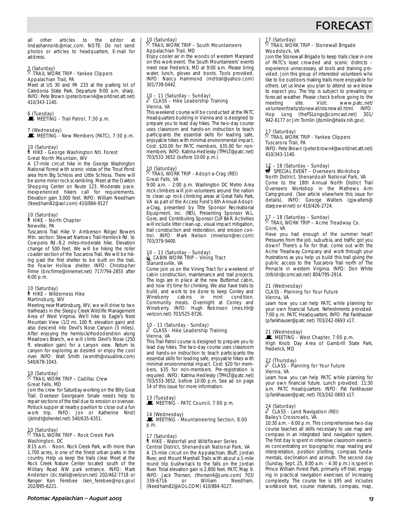

all other articles to the editor at lindashannonb@mac.com. NOTE: Do not send photos or articles to headquarters. E-mail for address.

#### 3 (Saturday) . TRAIL WORK TRIP - Yankee Clippers Appalachian Trail, PA

Meet at US 30 and PA 233 at the parking lot of Caledonia State Park. Departure 9:00 a.m. sharp. INFO: Pete Brown (peter.brown4@worldnet.att.net) 410/343-1140.

#### 6 (Tuesday) **MEETING - Trail Patrol, 7:30 p.m.**

7 (Wednesday)  $\mathbf{\dot{F}}$  MEETING - New Members (PATC), 7:30 p.m.

#### 10 (Saturday) ` HIKE - George Washington Ntl. Forest Great North Mountain, WV

A 17-mile circuit hike in the George Washington National Forest with scenic vistas of the Trout Pond area from Big Schloss and Little Schloss. There will be some minor rock scrambling. Meet at the Oakton Shopping Center on Route 123. Moderate pace. Inexperienced hikers call for requirements. Elevation gain 3,000 feet. INFO: William Needham (Needham82@aol.com) 410/884-9127

## 10 (Saturday) ` HIKE – North Chapter Newville, PA

Tuscarora Trail Hike V: Amberson Ridge/ Bowers Mtn. section: Stewart Narrows Trail-Hemlock Rd. to Cowpens Rd.-8.2 miles-moderate hike. Elevation change of 500 feet. We will be hiking the roller coaster section of the Tuscarora Trail. We will be hiking past the first shelter to be built on the trail, the Fowler Hollow shelter. INFO: Christopher Firme (bncfirme@innernet.net) 717/794-2855 after 6:00 p.m.

#### 10 (Saturday) ` HIKE – Wilderness Hike Martinsburg, WV

Meeting near Martinsburg, WV, we will drive to two trailheads in the Sleepy Creek Wildlife Management Area of West Virginia. We'll hike to Eagle's Nest Mountain View (1/2 mi, 100 ft. elevation gain) and also descend into Devil's Nose Canyon (3 miles). After enjoying the hemlock/rhododendron along Meadows Branch, we will climb Devil's Nose (250 ft. elevation gain) for a canyon view. Return to canyon for exploring as desired or enjoy the cool river. INFO: Walt Smith (wsmith@visuallink.com) 540/678-1043.

## 10 (Saturday) . TRAIL WORK TRIP – Cadillac Crew Great Falls, MD

Join the crew for Saturday working on the Billy Goat Trail. Overseer Georgeann Smale needs help to repair sections of the trail due to erosion or overuse. Potluck supper at nearby pavilion to close out a fun work trip. INFO: Jon or Katherine Rindt (jkrindt@shentel.net) 540/635-6351.

#### 10 (Saturday) . TRAIL WORK TRIP – Rock Creek Park Washington, DC

8:15 a.m. - Noon. Rock Creek Park, with more than 1,700 acres, is one of the finest urban parks in the country. Help us keep the trails clear. Meet at the Rock Creek Nature Center located south of the Military Road NW park entrance. INFO: Mark Anderson (dc.trails@verizon.net) 202/462-7718 or Ranger Ken Ferebee (ken\_ferebee@nps.gov) 202/895-6221.

#### 10 (Saturday) . TRAIL WORK TRIP – South Mountaineers Appalachian Trail, MD

Enjoy cooler air in the woods of western Maryland on this work event. The South Mountaineers' events meet near Frederick, MD at 9:00 a.m. Please bring water, lunch, gloves and boots. Tools provided. INFO: Nancy Hammond (mdtrail@yahoo.com) 301/739-0442.

#### 10 – 11 (Saturday – Sunday) CLASS - Hike Leadership Training Vienna, VA

This weekend course will be conducted at the PATC Headquarters building in Vienna and is designed to prepare you to lead day hikes. The two-day course uses classroom and hands-on instruction to teach participants the essential skills for leading safe, enjoyable hikes with minimal environmental impact. Cost: \$20.00 for PATC members, \$35.00 for nonmembers. INFO: Katrina Hedlesky (TPHLT@patc.net) 703/533-3652 (before 10:00 p.m.).

#### 10 (Saturday) . TRAIL WORK TRIP - Adopt-a-Crag (REI) Great Falls, VA

9:00 a.m. - 2:00 p.m. Washington DC Metro Area rock climbers will join volunteers around the nation to clean up rock climbing areas at Great Falls Park, VA as part of the Access Fund's 6th Annual Adopta-Crag, presented by Title Sponsor Recreational Equipment, Inc. (REI), Presenting Sponsor W.L. Gore, and Contributing Sponsor CLIF BAR. Activities will include litter clean-up, visual impact mitigation, trail construction and restoration, and erosion control. INFO: Mark Nelson (mnelson@rei.com) 703/379-9400.

## 10 – 11 (Saturday – Sunday)<br>LacaBIN WORK TRIP – Vining Tract Stanardsville, VA

Come join us on the Vining Tract for a weekend of cabin construction, maintenance and trail projects. The logs are in place at the new Butternut cabin, and now it's time for chinking. We also have trails to build, and work to be done to keep Conley and<br>Wineberry cabins in mint condition. Wineberry cabins in mint condition. Community meals. Overnight at Conley and Wineberry. INFO: Hugh Robinson (mes.htr@ verizon.net) 703/525-8726.

#### 10 - 11 (Saturday - Sunday) a CLASS - Hike Leadership Training Vienna, VA

This Trail Patrol course is designed to prepare you to lead day hikes. The two-day course uses classroom and hands-on instruction to teach participants the essential skills for leading safe, enjoyable hikes with minimal environmental impact. Cost: \$20 for members, \$35 for non-members. Pre-registration is required. INFO: Katrina Hedlesky (TPHLT@patc.net) 703/533-3652, before 10:00 p.m. See ad on page 14 of this issue for more information.

# 13 (Tuesday)<br>■ MEETING - PATC Council, 7:00 p.m.

#### 14 (Wednesday)

MEETING - Mountaineering Section, 8:00 p.m.

#### 17 (Saturday) ` HIKE - Waterfall and Wildflower Series Central District, Shenandoah National Park, VA

A 15-mile circuit on the Appalachian, Bluff, Jordan River, and Mount Marshall Trails with about a 1-mile round trip bushwhack to the falls on the Jordan River. Total elevation gain is 2,800 feet. PATC Map 9. INFO: Jack Thorsen, (thorsen4@Juno.com) 703/ or William Needham, (Needham82@AOL.COM) 410/884-9127.

# 17 (Saturday)<br><sup>2</sup>

#### . TRAIL WORK TRIP – Stonewall Brigade Woodstock, VA

Join the Stonewall Brigade to keep trails clear in one of PATC's least crowded and scenic districts – experience unnecessary, all tools and training provided. Join this group of interested volunteers who like to be outdoors making trails more enjoyable for others. Let us know you plan to attend so we know to expect you. The trip is subject to prevailing or forecast weather. Please check before going to the meeting site. Visit: www.patc.net/ volunteer/trails/stonewall/stonewall.html. INFO: Hop Long (theFSLongs@comcast.net) 301/ 942-6177 or Jim Tomlin (jtomlin@helix.nih.gov).

## 17 (Saturday) . TRAIL WORK TRIP - Yankee Clippers Tuscarora Trail, PA

INFO: Pete Brown (peter.brown4@worldnet.att.net) 410/343-1140.

# 17 – 18 (Saturday – Sunday)<br><del>s</del> SPECIAL EVENT – Overseers Workshop

North District, Shenandoah National Park, VA Come to the 18th Annual North District Trail Overseers Workshop in the Mathews Arm Campground. (See article elsewhere this issue for details). INFO: George Walters (gjwalters@ starpower.net) or 410/426-2724.

#### 17 – 18 (Saturday – Sunday) . TRAIL WORK TRIP – Acme Treadway Co. Gore, VA

Have you had enough of the summer heat? Pressures from the job, suburbia, and traffic got you down? There's a fix for that: come out with the Acme Treadway Company and work through your frustrations as you help us build this trail giving the public access to the Tuscarora Trail north of The Pinnacle in western Virginia. INFO: Don White (trlbldr@comcast.net) 804/795-2914.

#### 21 (Wednesday)

#### CLASS - Planning for Your Future Vienna, VA

Learn how you can help PATC while planning for your own financial future. Refreshments provided. 7:00 p.m. PATC Headquarters. INFO: Pat Fankhauser (pfankhauser@patc.net) 703/242-0693 x17.

21 (Wednesday)<br>■ MEETING - West Chapter, 7:00 p.m. High Knob Day Area of Gambrill State Park, Frederick, MD

## 22 (Thursday) a CLASS - Planning for Your Future Vienna, VA

Learn how you can help PATC while planning for your own financial future. Lunch provided. 11:30 a.m. PATC Headquarters. INFO: Pat Fankhauser (pfankhauser@patc.net) 703/242-0693 x17.

## 24 (Saturday) a CLASS - Land Navigation (REI) Bailey's Crossroads, VA

10:30 a.m. - 6:00 p.m. This comprehensive two-day course teaches all skills necessary to use map and compass in an integrated land navigation system. The first day is spent in intensive classroom exercises concentrating on topographic map reading and interpretation, position plotting, compass fundamentals, declination and azimuth. The second day (Sunday, Sept. 25, 8:00 a.m. - 4:30 p.m.) is spent in Prince William Forest Park, primarily off-trail, engaging in practical navigation exercises of increasing complexity. The course fee is \$95 and includes workbook text, course materials, compass, map,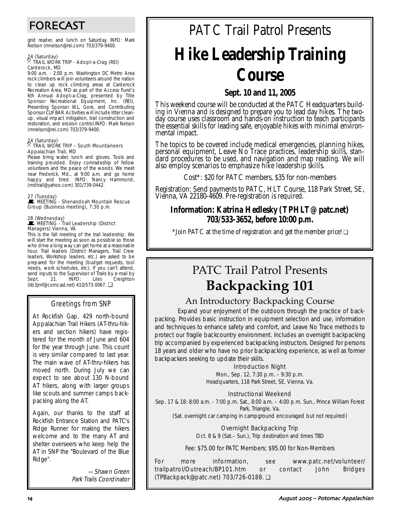# FORECAST

grid reader, and lunch on Saturday. INFO: Mark Nelson (mnelson@rei.com) 703/379-9400.

## 24 (Saturday) . TRAIL WORK TRIP - Adopt-a-Crag (REI) Carderock, MD

9:00 a.m. - 2:00 p.m. Washington DC Metro Area rock climbers will join volunteers around the nation to clean up rock climbing areas at Carderock Recreation Area, MD as part of the Access Fund's 6th Annual Adopt-a-Crag, presented by Title Sponsor Recreational Equipment, Inc. (REI), Presenting Sponsor W.L. Gore, and Contributing Sponsor CLIF BAR. Activities will include litter cleanup, visual impact mitigation, trail construction and restoration, and erosion control.INFO: Mark Nelson (mnelson@rei.com) 703/379-9400.

## 24 (Saturday) . TRAIL WORK TRIP – South Mountaineers Appalachian Trail, MD

Please bring water, lunch and gloves. Tools and training provided. Enjoy comradeship of fellow volunteers and the peace of the woods. We meet near Frederick, Md., at 9:00 a.m. and go home happy and tired. INFO: Nancy Hammond, (mdtrail@yahoo.com) 301/739-0442.

#### 27 (Tuesday)

WEETING - Shenandoah Mountain Rescue Group (Business meeting), 7:30 p.m.

## 28 (Wednesday)<br>■ MEETING - Trail Leadership (District Managers) Vienna, VA

This is the fall meeting of the trail leadership. We will start the meeting as soon as possible so those who drive a long way can get home at a reasonable hour. Trail leaders (District Managers, Trail Crew leaders, Workshop leaders, etc.) are asked to be prepared for the meeting (budget requests, tool needs, work schedules, etc). If you can't attend, send inputs to the Supervisor of Trails by e-mail by Sept. 21. INFO: Liles Creighton Sept. 21. INFO: Liles Creighton (kb3jmf@comcast.net) 410/573-0067. ❏

# Greetings from SNP

At Rockfish Gap, 429 north-bound Appalachian Trail Hikers (AT-thru-hikers and section hikers) have registered for the month of June and 604 for the year through June. This count is very similar compared to last year. The main wave of AT-thru-hikers has moved north. During July we can expect to see about 130 N-bound AT hikers, along with larger groups like scouts and summer camps backpacking along the AT.

Again, our thanks to the staff at Rockfish Entrance Station and PATC's Ridge Runner for making the hikers welcome and to the many AT and shelter overseers who keep help the AT in SNP the "Boulevard of the Blue Ridge".

> —Shawn Green Park Trails Coordinator

# PATC Trail Patrol Presents **Hike Leadership Training Course**

# **Sept. 10 and 11, 2005**

This weekend course will be conducted at the PATC Headquarters building in Vienna and is designed to prepare you to lead day hikes. The twoday course uses classroom and hands-on instruction to teach participants the essential skills for leading safe, enjoyable hikes with minimal environmental impact.

The topics to be covered include medical emergencies, planning hikes, personal equipment, Leave No Trace practices, leadership skills, standard procedures to be used, and navigation and map reading. We will also employ scenarios to emphasize hike leadership skills.

Cost\*: \$20 for PATC members, \$35 for non-members

Registration: Send payments to PATC, HLT Course, 118 Park Street, SE, Vienna, VA 22180-4609. Pre-registration is required.

# **Information: Katrina Hedlesky (TPHLT@patc.net) 703/533-3652, before 10:00 p.m.**

\*Join PATC at the time of registration and get the member price! ❏

# PATC Trail Patrol Presents **Backpacking 101**

# An Introductory Backpacking Course

Expand your enjoyment of the outdoors through the practice of backpacking. Provides basic instruction in equipment selection and use, information and techniques to enhance safety and comfort, and Leave No Trace methods to protect our fragile backcountry environment. Includes an overnight backpacking trip accompanied by experienced backpacking instructors. Designed for persons 18 years and older who have no prior backpacking experience, as well as former backpackers seeking to update their skills.

#### Introduction Night

Mon., Sep. 12, 7:30 p.m. – 9:30 p.m. Headquarters, 118 Park Street, SE, Vienna, Va.

#### Instructional Weekend

Sep. 17 & 18: 8:00 a.m. - 7:00 p.m. Sat., 8:00 a.m. – 4:00 p.m. Sun., Prince William Forest Park, Triangle, Va.

(Sat. overnight car camping in campground encouraged but not required)

#### Overnight Backpacking Trip

Oct. 8 & 9 (Sat.– Sun.), Trip destination and times TBD

Fee: \$75.00 for PATC Members; \$95.00 for Non-Members

For more information, see www.patc.net/volunteer/ trailpatrol/Outreach/BP101.htm or contact John Bridges (TPBackpack@patc.net) 703/726-0188. ❏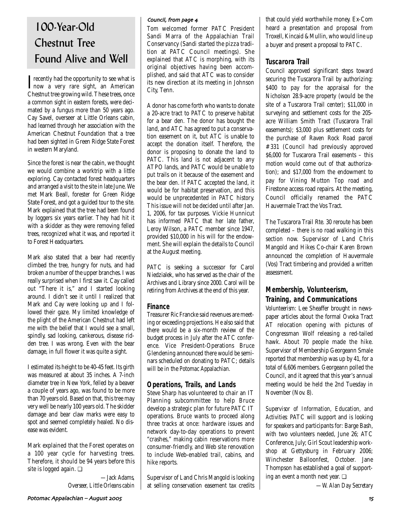# 100-Year-Old Chestnut Tree Found Alive and Well

**T** recently had the opportunity to see what is<br>now a very rare sight, an American  $\mathbf T$  recently had the opportunity to see what is Chestnut tree growing wild. These trees, once a common sight in eastern forests, were decimated by a fungus more than 50 years ago. Cay Savel, overseer at Little Orleans cabin, had learned through her association with the American Chestnut Foundation that a tree had been sighted in Green Ridge State Forest in western Maryland.

Since the forest is near the cabin, we thought we would combine a worktrip with a little exploring. Cay contacted forest headquarters and arranged a visit to the site in late June. We met Mark Beall, forester for Green Ridge State Forest, and got a guided tour to the site. Mark explained that the tree had been found by loggers six years earlier. They had hit it with a skidder as they were removing felled trees, recognized what it was, and reported it to Forest Headquarters.

Mark also stated that a bear had recently climbed the tree, hungry for nuts, and had broken a number of the upper branches. I was really surprised when I first saw it. Cay called out "There it is," and I started looking around. I didn't see it until I realized that Mark and Cay were looking up and I followed their gaze. My limited knowledge of the plight of the American Chestnut had left me with the belief that I would see a small, spindly, sad looking, cankerous, disease ridden tree. I was wrong. Even with the bear damage, in full flower it was quite a sight.

I estimated its height to be 40-45 feet. Its girth was measured at about 35 inches. A 7-inch diameter tree in New York, felled by a beaver a couple of years ago, was found to be more than 70 years old. Based on that, this tree may very well be nearly 100 years old. The skidder damage and bear claw marks were easy to spot and seemed completely healed. No disease was evident.

Mark explained that the Forest operates on a 100 year cycle for harvesting trees. Therefore, it should be 94 years before this site is logged again. ❏

> *—Jack Adams, Overseer, Little Orleans cabin*

#### Council, from page 4

Tom welcomed former PATC President Sandi Marra of the Appalachian Trail Conservancy (Sandi started the pizza tradition at PATC Council meetings). She explained that ATC is morphing, with its original objectives having been accomplished, and said that ATC was to consider its new direction at its meeting in Johnson City, Tenn.

A donor has come forth who wants to donate a 20-acre tract to PATC to preserve habitat for a bear den. The donor has bought the land, and ATC has agreed to put a conservation easement on it, but ATC is unable to accept the donation itself. Therefore, the donor is proposing to donate the land to PATC. This land is not adjacent to any ATPO lands, and PATC would be unable to put trails on it because of the easement and the bear den. If PATC accepted the land, it would be for habitat preservation, and this would be unprecedented in PATC history. This issue will not be decided until after Jan. 1, 2006, for tax purposes. Vickie Hunnicut has informed PATC that her late father, Leroy Wilson, a PATC member since 1947, provided \$10,000 in his will for the endowment. She will explain the details to Council at the August meeting.

PATC is seeking a successor for Carol Niedzialek, who has served as the chair of the Archives and Library since 2000. Carol will be retiring from Archives at the end of this year.

#### **Finance**

Treasurer Ric Francke said revenues are meeting or exceeding projections. He also said that there would be a six-month review of the budget process in July after the ATC conference. Vice President-Operations Bruce Glendening announced there would be seminars scheduled on donating to PATC; details will be in the *Potomac Appalachian.*

## **Operations, Trails, and Lands**

Steve Sharp has volunteered to chair an IT Planning subcommittee to help Bruce develop a strategic plan for future PATC IT operations. Bruce wants to proceed along three tracks at once: hardware issues and network day-to-day operations to prevent "crashes," making cabin reservations more consumer-friendly, and Web site renovation to include Web-enabled trail, cabins, and hike reports.

Supervisor of Land Chris Mangold is looking at selling conservation easement tax credits that could yield worthwhile money. Ex-Com heard a presentation and proposal from Troxell, Kincaid & Mullin, who would line up a buyer and present a proposal to PATC.

# **Tuscarora Trail**

Council approved significant steps toward securing the Tuscarora Trail by authorizing: \$400 to pay for the appraisal for the Nicholson 28.9-acre property (would be the site of a Tuscarora Trail center); \$11,000 in surveying and settlement costs for the 205 acre William Smith Tract (Tuscarora Trail easements); \$3,000 plus settlement costs for the purchase of Raven Rock Road parcel #331 (Council had previously approved \$6,000 for Tuscarora Trail easements – this motion would come out of that authorization); and \$17,000 from the endowment to pay for Vining Mutton Top road and Firestone access road repairs. At the meeting, Council officially renamed the PATC Hauvermale Tract the Vos Tract.

The Tuscarora Trail Rte. 30 reroute has been completed – there is no road walking in this section now. Supervisor of Land Chris Mangold and Hikes Co-chair Karen Brown announced the completion of Hauvermale (Vos) Tract timbering and provided a written assessment.

# **Membership, Volunteerism, Training, and Communications**

*Volunteerism:* Lee Sheaffer brought in newspaper articles about the formal Ovoka Tract AT relocation opening with pictures of Congressman Wolf releasing a red-tailed hawk. About 70 people made the hike. Supervisor of Membership Georgeann Smale reported that membership was up by 41, for a total of 6,606 members. Georgeann polled the Council, and it agreed that this year's annual meeting would be held the 2nd Tuesday in November (Nov. 8).

*Supervisor of Information, Education, and Activities:* PATC will support and is looking for speakers and participants for: Barge Bash, with two volunteers needed, June 26; ATC Conference, July; Girl Scout leadership workshop at Gettysburg in February 2006; Winchester Balloonfest, October. Jane Thompson has established a goal of supporting an event a month next year. ❏

*—W. Alan Day Secretary*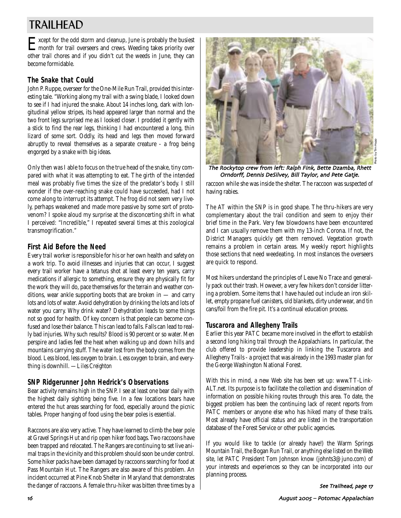# TRAILHEAD

Except for the odd storm and cleanup, June is probably the busiest month for trail overseers and crews. Weeding takes priority over other trail chores and if you didn't cut the weeds in June, they can become formidable.

# **The Snake that Could**

John P. Ruppe, overseer for the One-Mile Run Trail, provided this interesting tale. "Working along my trail with a swing blade, I looked down to see if I had injured the snake. About 14 inches long, dark with longitudinal yellow stripes, its head appeared larger than normal and the two front legs surprised me as I looked closer. I prodded it gently with a stick to find the rear legs, thinking I had encountered a long, thin lizard of some sort. Oddly, its head and legs then moved forward abruptly to reveal themselves as a separate creature - a frog being engorged by a snake with big ideas.

Only then was I able to focus on the true head of the snake, tiny compared with what it was attempting to eat. The girth of the intended meal was probably five times the size of the predator's body. I still wonder if the over-reaching snake could have succeeded, had I not come along to interrupt its attempt. The frog did not seem very lively, perhaps weakened and made more passive by some sort of protovenom? I spoke aloud my surprise at the disconcerting shift in what I perceived: "Incredible," I repeated several times at this zoological transmogrification."

## **First Aid Before the Need**

Every trail worker is responsible for his or her own health and safety on a work trip. To avoid illnesses and injuries that can occur, I suggest every trail worker have a tetanus shot at least every ten years, carry medications if allergic to something, ensure they are physically fit for the work they will do, pace themselves for the terrain and weather conditions, wear ankle supporting boots that are broken in — and carry lots and lots of water. Avoid dehydration by drinking the lots and lots of water you carry. Why drink water? Dehydration leads to some things not so good for health. Of key concern is that people can become confused and lose their balance. This can lead to falls. Falls can lead to really bad injuries. Why such results? Blood is 90 percent or so water. Men perspire and ladies feel the heat when walking up and down hills and mountains carrying stuff. The water lost from the body comes from the blood. Less blood, less oxygen to brain. Less oxygen to brain, and everything is downhill. *—Liles Creighton*

# **SNP Ridgerunner John Hedrick's Observations**

Bear activity remains high in the SNP. I see at least one bear daily with the highest daily sighting being five. In a few locations bears have entered the hut areas searching for food, especially around the picnic tables. Proper hanging of food using the bear poles is essential.

Raccoons are also very active. They have learned to climb the bear pole at Gravel Springs Hut and rip open hiker food bags. Two raccoons have been trapped and relocated. The Rangers are continuing to set live animal traps in the vicinity and this problem should soon be under control. Some hiker packs have been damaged by raccoons searching for food at Pass Mountain Hut. The Rangers are also aware of this problem. An incident occurred at Pine Knob Shelter in Maryland that demonstrates the danger of raccoons. A female thru-hiker was bitten three times by a



The Rockytop crew from left: Ralph Fink Bette Dzamba Rhett Orndorff Dennis DeSilvey Bill Taylor and Pete Gatje

raccoon while she was inside the shelter. The raccoon was suspected of having rabies.

The AT within the SNP is in good shape. The thru-hikers are very complementary about the trail condition and seem to enjoy their brief time in the Park. Very few blowdowns have been encountered and I can usually remove them with my 13-inch Corona. If not, the District Managers quickly get them removed. Vegetation growth remains a problem in certain areas. My weekly report highlights those sections that need weedeating. In most instances the overseers are quick to respond.

Most hikers understand the principles of Leave No Trace and generally pack out their trash. However, a very few hikers don't consider littering a problem. Some items that I have hauled out include an iron skillet, empty propane fuel canisters, old blankets, dirty underwear, and tin cans/foil from the fire pit. It's a continual education process.

## **Tuscarora and Allegheny Trails**

Earlier this year PATC became more involved in the effort to establish a second long hiking trail through the Appalachians. In particular, the club offered to provide leadership in linking the Tuscarora and Allegheny Trails - a project that was already in the 1993 master plan for the George Washington National Forest.

With this in mind, a new Web site has been set up: www.TT-Link-ALT.net. Its purpose is to facilitate the collection and dissemination of information on possible hiking routes through this area. To date, the biggest problem has been the continuing lack of recent reports from PATC members or anyone else who has hiked many of these trails. Most already have official status and are listed in the transportation database of the Forest Service or other public agencies.

If you would like to tackle (or already have!) the Warm Springs Mountain Trail, the Bogan Run Trail, or anything else listed on the Web site, let PATC President Tom Johnson know (johnts3@juno.com) of your interests and experiences so they can be incorporated into our planning process.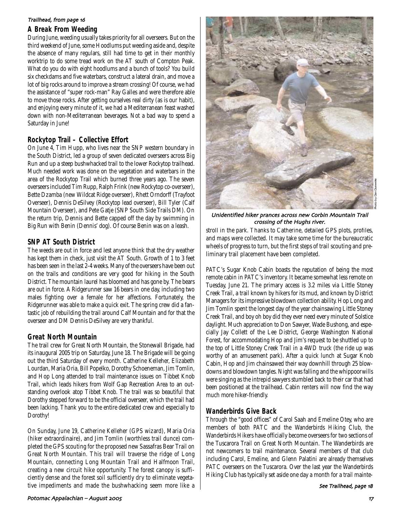#### Trailhead, from page 16

#### **A Break From Weeding**

During June, weeding usually takes priority for all overseers. But on the third weekend of June, some Hoodlums put weeding aside and, despite the absence of many regulars, still had time to get in their monthly worktrip to do some tread work on the AT south of Compton Peak. What do you do with eight hoodlums and a bunch of tools? You build six checkdams and five waterbars, construct a lateral drain, and move a lot of big rocks around to improve a stream crossing! Of course, we had the assistance of "super rock-man" Ray Galles and were therefore able to move those rocks. After getting ourselves real dirty (as is our habit), and enjoying every minute of it, we had a Mediterranean feast washed down with non-Mediterranean beverages. Not a bad way to spend a Saturday in June!

## **Rockytop Trail – Collective Effort**

On June 4, Tim Hupp, who lives near the SNP western boundary in the South District, led a group of seven dedicated overseers across Big Run and up a steep bushwhacked trail to the lower Rockytop trailhead. Much needed work was done on the vegetation and waterbars in the area of the Rockytop Trail which burned three years ago. The seven overseers included Tim Rupp, Ralph Frink (new Rockytop co-overseer), Bette Dzamba (new Wildcat Ridge overseer), Rhett Orndorff (Trayfoot Overseer), Dennis DeSilvey (Rockytop lead overseer), Bill Tyler (Calf Mountain Overseer), and Pete Gatje (SNP South Side Trails DM). On the return trip, Dennis and Bette capped off the day by swimming in Big Run with Benin (Dennis' dog). Of course Benin was on a leash.

## **SNP AT South District**

The weeds are out in force and lest anyone think that the dry weather has kept them in check, just visit the AT South. Growth of 1 to 3 feet has been seen in the last 2-4 weeks. Many of the overseers have been out on the trails and conditions are very good for hiking in the South District. The mountain laurel has bloomed and has gone by. The bears are out in force. A Ridgerunner saw 16 bears in one day, including two males fighting over a female for her affections. Fortunately, the Ridgerunner was able to make a quick exit. The spring crew did a fantastic job of rebuilding the trail around Calf Mountain and for that the overseer and DM Dennis DeSilvey are very thankful.

#### **Great North Mountain**

The trail crew for Great North Mountain, the Stonewall Brigade, had its inaugural 2005 trip on Saturday, June 18. The Brigade will be going out the third Saturday of every month. Catherine Kelleher, Elizabeth Lourdan, Maria Oria, Bill Popelko, Dorothy Schoeneman, Jim Tomlin, and Hop Long attended to trail maintenance issues on Tibbet Knob Trail, which leads hikers from Wolf Gap Recreation Area to an outstanding overlook atop Tibbet Knob. The trail was so beautiful that Dorothy stepped forward to be the official overseer, which the trail had been lacking. Thank you to the entire dedicated crew and especially to Dorothy!

On Sunday, June 19, Catherine Kelleher (GPS wizard), Maria Oria (hiker extraordinaire), and Jim Tomlin (worthless trail dunce) completed the GPS scouting for the proposed new Sassafras Bear Trail on Great North Mountain. This trail will traverse the ridge of Long Mountain, connecting Long Mountain Trail and Halfmoon Trail, creating a new circuit hike opportunity. The forest canopy is sufficiently dense and the forest soil sufficiently dry to eliminate vegetative impediments and made the bushwhacking seem more like a



Photo by Dan Dueweke

Unidentified hiker prances across new Corbin Mountain Trail crossing of the Hughs river

stroll in the park. Thanks to Catherine, detailed GPS plots, profiles, and maps were collected. It may take some time for the bureaucratic wheels of progress to turn, but the first steps of trail scouting and preliminary trail placement have been completed.

PATC's Sugar Knob Cabin boasts the reputation of being the most remote cabin in PATC's inventory. It became somewhat less remote on Tuesday, June 21. The primary access is 3.2 miles via Little Stoney Creek Trail, a trail known by hikers for its mud, and known by District Managers for its impressive blowdown collection ability. Hop Long and Jim Tomlin spent the longest day of the year chainsawing Little Stoney Creek Trail, and boy oh boy did they ever need every minute of Solstice daylight. Much appreciation to Don Sawyer, Wade Bushong, and especially Jay Collett of the Lee District, George Washington National Forest, for accommodating Hop and Jim's request to be shuttled up to the top of Little Stoney Creek Trail in a 4WD truck (the ride up was worthy of an amusement park). After a quick lunch at Sugar Knob Cabin, Hop and Jim chainsawed their way downhill through 25 blowdowns and blowdown tangles. Night was falling and the whippoorwills were singing as the intrepid sawyers stumbled back to their car that had been positioned at the trailhead. Cabin renters will now find the way much more hiker-friendly.

## **Wanderbirds Give Back**

Through the "good offices" of Carol Saah and Emeline Otey, who are members of both PATC and the Wanderbirds Hiking Club, the Wanderbirds Hikers have officially become overseers for two sections of the Tuscarora Trail on Great North Mountain. The Wanderbirds are not newcomers to trail maintenance. Several members of that club including Carol, Emeline, and Glenn Palatini are already themselves PATC overseers on the Tuscarora. Over the last year the Wanderbirds Hiking Club has typically set aside one day a month for a trail mainte-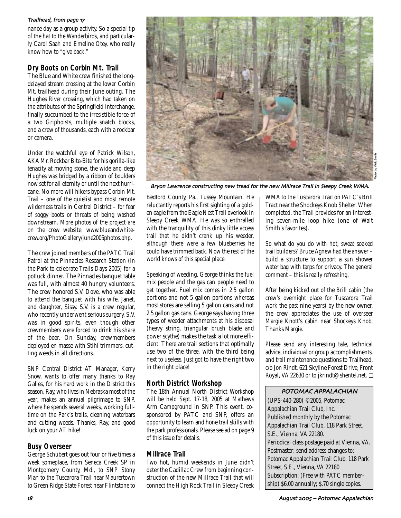#### Trailhead from page 1

nance day as a group activity. So a special tip of the hat to the Wanderbirds, and particularly Carol Saah and Emeline Otey, who really know how to "give back."

# **Dry Boots on Corbin Mt. Trail**

The Blue and White crew finished the longdelayed stream crossing at the lower Corbin Mt. trailhead during their June outing. The Hughes River crossing, which had taken on the attributes of the Springfield interchange, finally succumbed to the irresistible force of a two Griphoists, multiple snatch blocks, and a crew of thousands, each with a rockbar or camera.

Under the watchful eye of Patrick Wilson, AKA Mr. Rockbar Bite-Bite for his gorilla-like tenacity at moving stone, the wide and deep Hughes was bridged by a ribbon of boulders now set for all eternity or until the next hurricane. No more will hikers bypass Corbin Mt. Trail – one of the quietist and most remote wilderness trails in Central District – for fear of soggy boots or threats of being washed downstream. More photos of the project are on the crew website: www.blueandwhitecrew.org/PhotoGallery/june2005photos.php.

The crew joined members of the PATC Trail Patrol at the Pinnacles Research Station (in the Park to celebrate Trails Days 2005) for a potluck dinner. The Pinnacles banquet table was full, with almost 40 hungry volunteers. The crew honored S.V. Dove, who was able to attend the banquet with his wife, Janet, and daughter, Sissy. S.V. is a crew regular, who recently underwent serious surgery. S.V. was in good spirits, even though other crewmembers were forced to drink his share of the beer. On Sunday, crewmembers deployed en masse with Stihl trimmers, cutting weeds in all directions.

SNP Central District AT Manager, Kerry Snow, wants to offer many thanks to Ray Galles, for his hard work in the District this season. Ray, who lives in Nebraska most of the year, makes an annual pilgrimage to SNP, where he spends several weeks, working fulltime on the Park's trails, cleaning waterbars and cutting weeds. Thanks, Ray, and good luck on your AT hike!

## **Busy Overseer**

George Schubert goes out four or five times a week someplace, from Seneca Creek SP in Montgomery County, Md., to SNP Stony Man to the Tuscarora Trail near Maurertown to Green Ridge State Forest near Flintstone to



Bryon Lawrence constructing new tread for the new Millrace Trail in Sleepy Creek WMA

Bedford County, Pa., Tussey Mountain. He reluctantly reports his first sighting of a golden eagle from the Eagle Nest Trail overlook in Sleepy Creek WMA. He was so enthralled with the tranquility of this dinky little access trail that he didn't crank up his weeder, although there were a few blueberries he could have trimmed back. Now the rest of the world knows of this special place.

Speaking of weeding, George thinks the fuel mix people and the gas can people need to get together. Fuel mix comes in 2.5 gallon portions and not 5 gallon portions whereas most stores are selling 5 gallon cans and not 2.5 gallon gas cans. George says having three types of weeder attachments at his disposal (heavy string, triangular brush blade and power scythe) makes the task a lot more efficient. There are trail sections that optimally use two of the three, with the third being next to useless. Just got to have the right two in the right place!

## **North District Workshop**

The 18th Annual North District Workshop will be held Sept. 17-18, 2005 at Mathews Arm Campground in SNP. This event, cosponsored by PATC and SNP, offers an opportunity to learn and hone trail skills with the park professionals. Please see ad on page 9 of this issue for details.

## **Millrace Trail**

Two hot, humid weekends in June didn't deter the Cadillac Crew from beginning construction of the new Millrace Trail that will connect the High Rock Trail in Sleepy Creek WMA to the Tuscarora Trail on PATC's Brill Tract near the Shockeys Knob Shelter. When completed, the Trail provides for an interesting seven-mile loop hike (one of Walt Smith's favorites).

So what do you do with hot, sweat soaked trail builders? Bruce Agnew had the answer – build a structure to support a sun shower water bag with tarps for privacy. The general comment – this is really refreshing.

After being kicked out of the Brill cabin (the crew's overnight place for Tuscarora Trail work the past nine years) by the new owner, the crew appreciates the use of overseer Margie Knott's cabin near Shockeys Knob. Thanks Margie.

Please send any interesting tale, technical advice, individual or group accomplishments, and trail maintenance questions to Trailhead, c/o Jon Rindt, 621 Skyline Forest Drive, Front Royal, VA 22630 or to jkrindt@shentel.net. ❏

## POTOMAC APPALACHIAN

(UPS-440-280) ©2005, Potomac Appalachian Trail Club, Inc. Published monthly by the Potomac Appalachian Trail Club, 118 Park Street, S.E., Vienna, VA 22180. Periodical class postage paid at Vienna, VA. Postmaster: send address changes to: Potomac Appalachian Trail Club, 118 Park Street, S.E., Vienna, VA 22180 Subscription: (Free with PATC membership) \$6.00 annually; \$.70 single copies.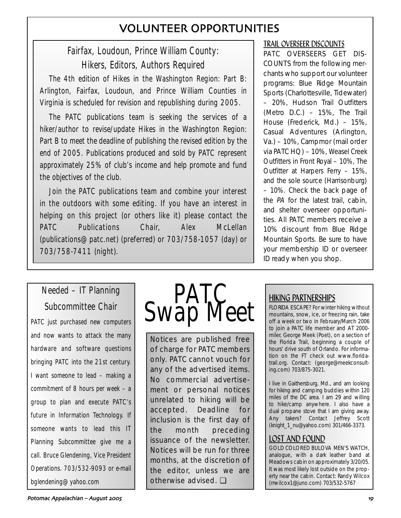# VOLUNTEER OPPORTUNITIES

# Fairfax, Loudoun, Prince William County: Hikers, Editors, Authors Required

The 4th edition of Hikes in the Washington Region: Part B: Arlington, Fairfax, Loudoun, and Prince William Counties in Virginia is scheduled for revision and republishing during 2005.

The PATC publications team is seeking the services of a hiker/author to revise/update Hikes in the Washington Region: Part B to meet the deadline of publishing the revised edition by the end of 2005. Publications produced and sold by PATC represent approximately 25% of club's income and help promote and fund the objectives of the club.

Join the PATC publications team and combine your interest in the outdoors with some editing. If you have an interest in helping on this project (or others like it) please contact the PATC Publications Chair, Alex McLellan (publications@patc.net) (preferred) or 703/758-1057 (day) or 703/758-7411 (night).

# PATC OVERSEERS GET DIS-COUNTS from the following merchants who support our volunteer programs: Blue Ridge Mountain Sports (Charlottesville, Tidewater) – 20%, Hudson Trail Outfitters (Metro D.C.) – 15%, The Trail House (Frederick, Md.) – 15%, Casual Adventures (Arlington, Va.) – 10%, Campmor (mail order

via PATC HQ) – 10%, Weasel Creek Outfitters in Front Royal – 10%, The Outfitter at Harpers Ferry – 15%, and the sole source (Harrisonburg) – 10%. Check the back page of the PA for the latest trail, cabin, and shelter overseer opportunities. All PATC members receive a 10% discount from Blue Ridge Mountain Sports. Be sure to have your membership ID or overseer ID ready when you shop.

TRAIL OVERSEER DISCOUNTS

# Needed – IT Planning Subcommittee Chair

PATC just purchased new computers and now wants to attack the many hardware and software questions bringing PATC into the 21st century. I want someone to lead – making a commitment of 8 hours per week – a group to plan and execute PATC's future in Information Technology. If someone wants to lead this IT Planning Subcommittee give me a call. Bruce Glendening, Vice President Operations. 703/532-9093 or e-mail bglendening@yahoo.com

# **PATC**<br>Swap Meet

Notices are published free of charge for PATC members only. PATC cannot vouch for any of the advertised items. No commercial advertisement or personal notices unrelated to hiking will be accepted. Deadline for inclusion is the first day of the month preceding issuance of the newsletter. Notices will be run for three months, at the discretion of the editor, unless we are otherwise advised. ❏

# HIKING PARTNERSHIPS

FLORIDA ESCAPE? For winter hiking without mountains, snow, ice, or freezing rain, take off a week or two in February/March 2006 to join a PATC life member and AT 2000 miler, George Meek (Poet), on a section of the Florida Trail, beginning a couple of hours' drive south of Orlando. For information on the FT check out www.floridatrail.org. Contact: (george@meekconsulting.com) 703/875-3021.

I live in Gaithersburg, Md., and am looking for hiking and camping buddies within 120 miles of the DC area. I am 29 and willing to hike/camp anywhere. I also have a dual propane stove that I am giving away. Any takers? Contact Jeffrey Scott (knight\_1\_nu@yahoo.com) 301/466-3373.

# LOST AND FOUND

GOLD COLORED BULOVA MEN'S WATCH, analogue, with a dark leather band at Meadows cabin on approximately 3/20/05. It was most likely lost outside on the property near the cabin. Contact: Randy Wilcox (rrwilcox1@juno.com) 703/532-5767